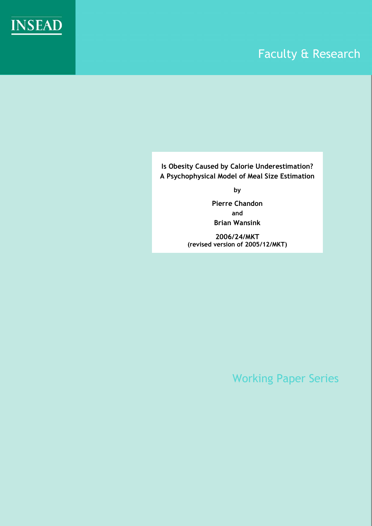

# Faculty & Research

**Is Obesity Caused by Calorie Underestimation? A Psychophysical Model of Meal Size Estimation** 

**by** 

**Pierre Chandon and Brian Wansink** 

**2006/24/MKT (revised version of 2005/12/MKT)** 

Working Paper Series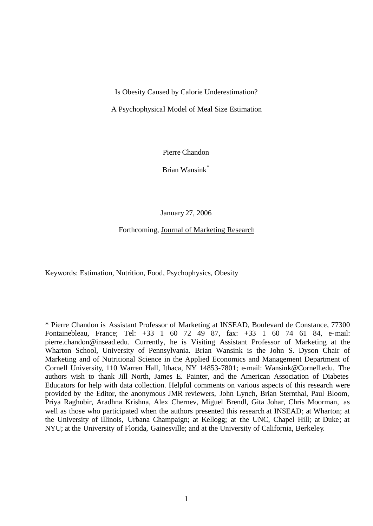Is Obesity Caused by Calorie Underestimation?

A Psychophysical Model of Meal Size Estimation

Pierre Chandon

Brian Wansink\*

January 27, 2006

Forthcoming, Journal of Marketing Research

Keywords: Estimation, Nutrition, Food, Psychophysics, Obesity

\* Pierre Chandon is Assistant Professor of Marketing at INSEAD, Boulevard de Constance, 77300 Fontainebleau, France; Tel: +33 1 60 72 49 87, fax: +33 1 60 74 61 84, e-mail: pierre.chandon@insead.edu. Currently, he is Visiting Assistant Professor of Marketing at the Wharton School, University of Pennsylvania. Brian Wansink is the John S. Dyson Chair of Marketing and of Nutritional Science in the Applied Economics and Management Department of Cornell University, 110 Warren Hall, Ithaca, NY 14853-7801; e-mail: Wansink@Cornell.edu. The authors wish to thank Jill North, James E. Painter, and the American Association of Diabetes Educators for help with data collection. Helpful comments on various aspects of this research were provided by the Editor, the anonymous JMR reviewers, John Lynch, Brian Sternthal, Paul Bloom, Priya Raghubir, Aradhna Krishna, Alex Chernev, Miguel Brendl, Gita Johar, Chris Moorman, as well as those who participated when the authors presented this research at INSEAD; at Wharton; at the University of Illinois, Urbana Champaign; at Kellogg; at the UNC, Chapel Hill; at Duke; at NYU; at the University of Florida, Gainesville; and at the University of California, Berkeley.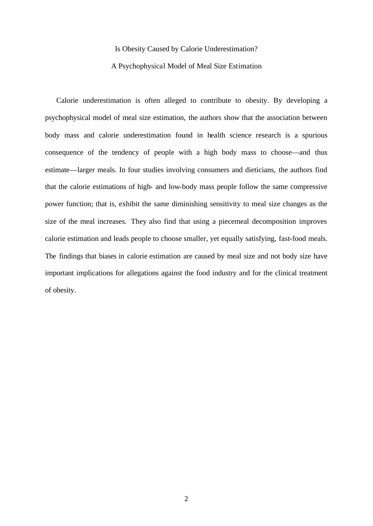#### Is Obesity Caused by Calorie Underestimation?

#### A Psychophysical Model of Meal Size Estimation

Calorie underestimation is often alleged to contribute to obesity. By developing a psychophysical model of meal size estimation, the authors show that the association between body mass and calorie underestimation found in health science research is a spurious consequence of the tendency of people with a high body mass to choose—and thus estimate—larger meals. In four studies involving consumers and dieticians, the authors find that the calorie estimations of high- and low-body mass people follow the same compressive power function; that is, exhibit the same diminishing sensitivity to meal size changes as the size of the meal increases. They also find that using a piecemeal decomposition improves calorie estimation and leads people to choose smaller, yet equally satisfying, fast-food meals. The findings that biases in calorie estimation are caused by meal size and not body size have important implications for allegations against the food industry and for the clinical treatment of obesity.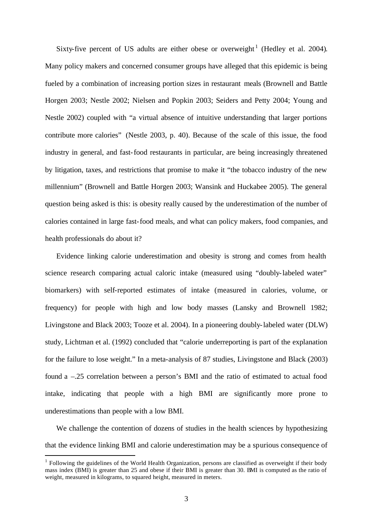Sixty-five percent of US adults are either obese or overweight<sup>1</sup> (Hedley et al. 2004). Many policy makers and concerned consumer groups have alleged that this epidemic is being fueled by a combination of increasing portion sizes in restaurant meals (Brownell and Battle Horgen 2003; Nestle 2002; Nielsen and Popkin 2003; Seiders and Petty 2004; Young and Nestle 2002) coupled with "a virtual absence of intuitive understanding that larger portions contribute more calories" (Nestle 2003, p. 40). Because of the scale of this issue, the food industry in general, and fast-food restaurants in particular, are being increasingly threatened by litigation, taxes, and restrictions that promise to make it "the tobacco industry of the new millennium" (Brownell and Battle Horgen 2003; Wansink and Huckabee 2005). The general question being asked is this: is obesity really caused by the underestimation of the number of calories contained in large fast-food meals, and what can policy makers, food companies, and health professionals do about it?

Evidence linking calorie underestimation and obesity is strong and comes from health science research comparing actual caloric intake (measured using "doubly-labeled water" biomarkers) with self-reported estimates of intake (measured in calories, volume, or frequency) for people with high and low body masses (Lansky and Brownell 1982; Livingstone and Black 2003; Tooze et al. 2004). In a pioneering doubly-labeled water (DLW) study, Lichtman et al. (1992) concluded that "calorie underreporting is part of the explanation for the failure to lose weight." In a meta-analysis of 87 studies, Livingstone and Black (2003) found a –.25 correlation between a person's BMI and the ratio of estimated to actual food intake, indicating that people with a high BMI are significantly more prone to underestimations than people with a low BMI.

We challenge the contention of dozens of studies in the health sciences by hypothesizing that the evidence linking BMI and calorie underestimation may be a spurious consequence of

l

 $<sup>1</sup>$  Following the guidelines of the World Health Organization, persons are classified as overweight if their body</sup> mass index (BMI) is greater than 25 and obese if their BMI is greater than 30. BMI is computed as the ratio of weight, measured in kilograms, to squared height, measured in meters.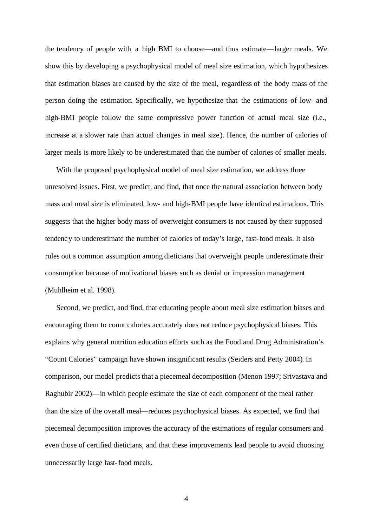the tendency of people with a high BMI to choose—and thus estimate—larger meals. We show this by developing a psychophysical model of meal size estimation, which hypothesizes that estimation biases are caused by the size of the meal, regardless of the body mass of the person doing the estimation. Specifically, we hypothesize that the estimations of low- and high-BMI people follow the same compressive power function of actual meal size (i.e., increase at a slower rate than actual changes in meal size). Hence, the number of calories of larger meals is more likely to be underestimated than the number of calories of smaller meals.

With the proposed psychophysical model of meal size estimation, we address three unresolved issues. First, we predict, and find, that once the natural association between body mass and meal size is eliminated, low- and high-BMI people have identical estimations. This suggests that the higher body mass of overweight consumers is not caused by their supposed tendency to underestimate the number of calories of today's large, fast-food meals. It also rules out a common assumption among dieticians that overweight people underestimate their consumption because of motivational biases such as denial or impression management (Muhlheim et al. 1998).

Second, we predict, and find, that educating people about meal size estimation biases and encouraging them to count calories accurately does not reduce psychophysical biases. This explains why general nutrition education efforts such as the Food and Drug Administration's "Count Calories" campaign have shown insignificant results (Seiders and Petty 2004). In comparison, our model predicts that a piecemeal decomposition (Menon 1997; Srivastava and Raghubir 2002)—in which people estimate the size of each component of the meal rather than the size of the overall meal—reduces psychophysical biases. As expected, we find that piecemeal decomposition improves the accuracy of the estimations of regular consumers and even those of certified dieticians, and that these improvements lead people to avoid choosing unnecessarily large fast-food meals.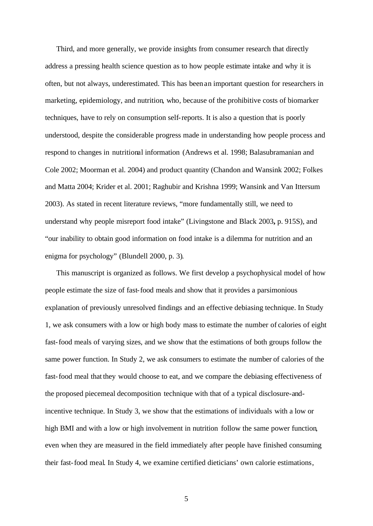Third, and more generally, we provide insights from consumer research that directly address a pressing health science question as to how people estimate intake and why it is often, but not always, underestimated. This has been an important question for researchers in marketing, epidemiology, and nutrition, who, because of the prohibitive costs of biomarker techniques, have to rely on consumption self-reports. It is also a question that is poorly understood, despite the considerable progress made in understanding how people process and respond to changes in nutritional information (Andrews et al. 1998; Balasubramanian and Cole 2002; Moorman et al. 2004) and product quantity (Chandon and Wansink 2002; Folkes and Matta 2004; Krider et al. 2001; Raghubir and Krishna 1999; Wansink and Van Ittersum 2003). As stated in recent literature reviews, "more fundamentally still, we need to understand why people misreport food intake" (Livingstone and Black 2003**,** p. 915S), and "our inability to obtain good information on food intake is a dilemma for nutrition and an enigma for psychology" (Blundell 2000, p. 3).

This manuscript is organized as follows. We first develop a psychophysical model of how people estimate the size of fast-food meals and show that it provides a parsimonious explanation of previously unresolved findings and an effective debiasing technique. In Study 1, we ask consumers with a low or high body mass to estimate the number of calories of eight fast-food meals of varying sizes, and we show that the estimations of both groups follow the same power function. In Study 2, we ask consumers to estimate the number of calories of the fast-food meal that they would choose to eat, and we compare the debiasing effectiveness of the proposed piecemeal decomposition technique with that of a typical disclosure-andincentive technique. In Study 3, we show that the estimations of individuals with a low or high BMI and with a low or high involvement in nutrition follow the same power function, even when they are measured in the field immediately after people have finished consuming their fast-food meal. In Study 4, we examine certified dieticians' own calorie estimations,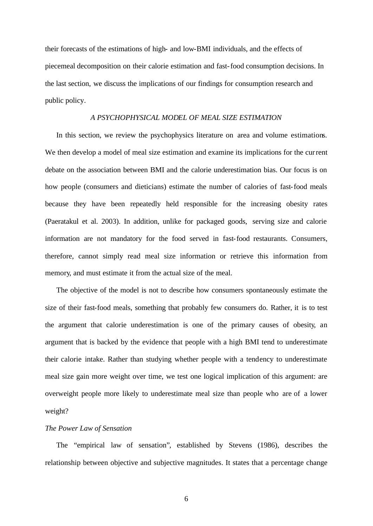their forecasts of the estimations of high- and low-BMI individuals, and the effects of piecemeal decomposition on their calorie estimation and fast-food consumption decisions. In the last section, we discuss the implications of our findings for consumption research and public policy.

#### *A PSYCHOPHYSICAL MODEL OF MEAL SIZE ESTIMATION*

In this section, we review the psychophysics literature on area and volume estimations. We then develop a model of meal size estimation and examine its implications for the current debate on the association between BMI and the calorie underestimation bias. Our focus is on how people (consumers and dieticians) estimate the number of calories of fast-food meals because they have been repeatedly held responsible for the increasing obesity rates (Paeratakul et al. 2003). In addition, unlike for packaged goods, serving size and calorie information are not mandatory for the food served in fast-food restaurants. Consumers, therefore, cannot simply read meal size information or retrieve this information from memory, and must estimate it from the actual size of the meal.

The objective of the model is not to describe how consumers spontaneously estimate the size of their fast-food meals, something that probably few consumers do. Rather, it is to test the argument that calorie underestimation is one of the primary causes of obesity, an argument that is backed by the evidence that people with a high BMI tend to underestimate their calorie intake. Rather than studying whether people with a tendency to underestimate meal size gain more weight over time, we test one logical implication of this argument: are overweight people more likely to underestimate meal size than people who are of a lower weight?

## *The Power Law of Sensation*

The "empirical law of sensation", established by Stevens (1986), describes the relationship between objective and subjective magnitudes. It states that a percentage change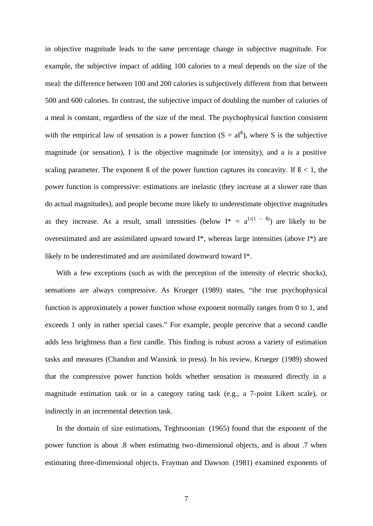in objective magnitude leads to the same percentage change in subjective magnitude. For example, the subjective impact of adding 100 calories to a meal depends on the size of the meal: the difference between 100 and 200 calories is subjectively different from that between 500 and 600 calories. In contrast, the subjective impact of doubling the number of calories of a meal is constant, regardless of the size of the meal. The psychophysical function consistent with the empirical law of sensation is a power function  $(S = aI^{\beta})$ , where S is the subjective magnitude (or sensation), I is the objective magnitude (or intensity), and a is a positive scaling parameter. The exponent  $\beta$  of the power function captures its concavity. If  $\beta$  < 1, the power function is compressive: estimations are inelastic (they increase at a slower rate than do actual magnitudes), and people become more likely to underestimate objective magnitudes as they increase. As a result, small intensities (below  $I^* = a^{1/(1 - \beta)}$ ) are likely to be overestimated and are assimilated upward toward I\*, whereas large intensities (above I\*) are likely to be underestimated and are assimilated downward toward I\*.

With a few exceptions (such as with the perception of the intensity of electric shocks), sensations are always compressive. As Krueger (1989) states, "the true psychophysical function is approximately a power function whose exponent normally ranges from 0 to 1, and exceeds 1 only in rather special cases." For example, people perceive that a second candle adds less brightness than a first candle. This finding is robust across a variety of estimation tasks and measures (Chandon and Wansink in press). In his review, Krueger (1989) showed that the compressive power function holds whether sensation is measured directly in a magnitude estimation task or in a category rating task (e.g., a 7-point Likert scale), or indirectly in an incremental detection task.

In the domain of size estimations, Teghtsoonian (1965) found that the exponent of the power function is about .8 when estimating two-dimensional objects, and is about .7 when estimating three-dimensional objects. Frayman and Dawson (1981) examined exponents of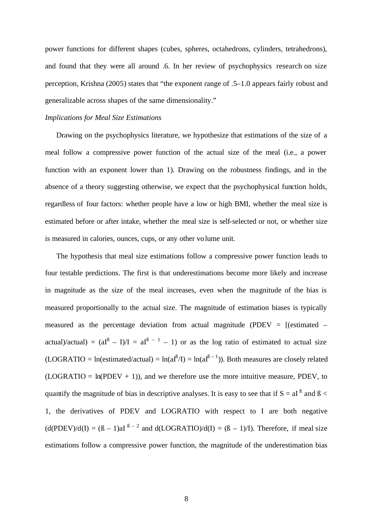power functions for different shapes (cubes, spheres, octahedrons, cylinders, tetrahedrons), and found that they were all around .6. In her review of psychophysics research on size perception, Krishna (2005) states that "the exponent range of .5–1.0 appears fairly robust and generalizable across shapes of the same dimensionality."

#### *Implications for Meal Size Estimations*

Drawing on the psychophysics literature, we hypothesize that estimations of the size of a meal follow a compressive power function of the actual size of the meal (i.e., a power function with an exponent lower than 1). Drawing on the robustness findings, and in the absence of a theory suggesting otherwise, we expect that the psychophysical function holds, regardless of four factors: whether people have a low or high BMI, whether the meal size is estimated before or after intake, whether the meal size is self-selected or not, or whether size is measured in calories, ounces, cups, or any other volume unit.

The hypothesis that meal size estimations follow a compressive power function leads to four testable predictions. The first is that underestimations become more likely and increase in magnitude as the size of the meal increases, even when the magnitude of the bias is measured proportionally to the actual size. The magnitude of estimation biases is typically measured as the percentage deviation from actual magnitude (PDEV =  $[(estimated$ actual)/actual) =  $(aI^B - I) / I = aI^{B - 1} - 1$  or as the log ratio of estimated to actual size  $(LOGRATIO = In(estimated/actual) = In(aI<sup>ß</sup>/I) = In(aI<sup>ß</sup> – 1)$ . Both measures are closely related  $(LOGRATIO = ln(PDEV + 1))$ , and we therefore use the more intuitive measure, PDEV, to quantify the magnitude of bias in descriptive analyses. It is easy to see that if  $S = aI^B$  and  $B <$ 1, the derivatives of PDEV and LOGRATIO with respect to I are both negative  $(d(PDEV)/dI) = (B - 1)aI^{B - 2}$  and  $d(LOGRATIO)/dI) = (B - 1)/I$ . Therefore, if meal size estimations follow a compressive power function, the magnitude of the underestimation bias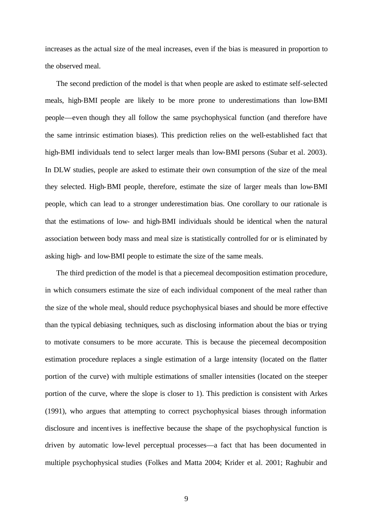increases as the actual size of the meal increases, even if the bias is measured in proportion to the observed meal.

The second prediction of the model is that when people are asked to estimate self-selected meals, high-BMI people are likely to be more prone to underestimations than low-BMI people—even though they all follow the same psychophysical function (and therefore have the same intrinsic estimation biases). This prediction relies on the well-established fact that high-BMI individuals tend to select larger meals than low-BMI persons (Subar et al. 2003). In DLW studies, people are asked to estimate their own consumption of the size of the meal they selected. High-BMI people, therefore, estimate the size of larger meals than low-BMI people, which can lead to a stronger underestimation bias. One corollary to our rationale is that the estimations of low- and high-BMI individuals should be identical when the natural association between body mass and meal size is statistically controlled for or is eliminated by asking high- and low-BMI people to estimate the size of the same meals.

The third prediction of the model is that a piecemeal decomposition estimation procedure, in which consumers estimate the size of each individual component of the meal rather than the size of the whole meal, should reduce psychophysical biases and should be more effective than the typical debiasing techniques, such as disclosing information about the bias or trying to motivate consumers to be more accurate. This is because the piecemeal decomposition estimation procedure replaces a single estimation of a large intensity (located on the flatter portion of the curve) with multiple estimations of smaller intensities (located on the steeper portion of the curve, where the slope is closer to 1). This prediction is consistent with Arkes (1991), who argues that attempting to correct psychophysical biases through information disclosure and incentives is ineffective because the shape of the psychophysical function is driven by automatic low-level perceptual processes—a fact that has been documented in multiple psychophysical studies (Folkes and Matta 2004; Krider et al. 2001; Raghubir and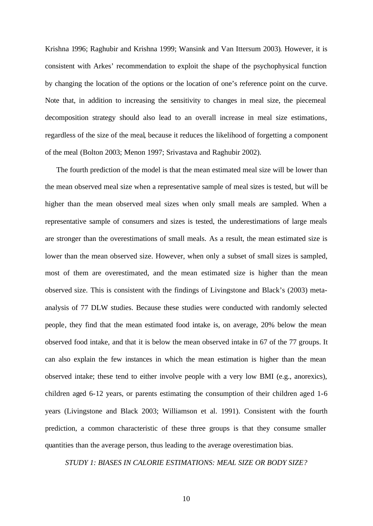Krishna 1996; Raghubir and Krishna 1999; Wansink and Van Ittersum 2003). However, it is consistent with Arkes' recommendation to exploit the shape of the psychophysical function by changing the location of the options or the location of one's reference point on the curve. Note that, in addition to increasing the sensitivity to changes in meal size, the piecemeal decomposition strategy should also lead to an overall increase in meal size estimations, regardless of the size of the meal, because it reduces the likelihood of forgetting a component of the meal (Bolton 2003; Menon 1997; Srivastava and Raghubir 2002).

The fourth prediction of the model is that the mean estimated meal size will be lower than the mean observed meal size when a representative sample of meal sizes is tested, but will be higher than the mean observed meal sizes when only small meals are sampled. When a representative sample of consumers and sizes is tested, the underestimations of large meals are stronger than the overestimations of small meals. As a result, the mean estimated size is lower than the mean observed size. However, when only a subset of small sizes is sampled, most of them are overestimated, and the mean estimated size is higher than the mean observed size. This is consistent with the findings of Livingstone and Black's (2003) metaanalysis of 77 DLW studies. Because these studies were conducted with randomly selected people, they find that the mean estimated food intake is, on average, 20% below the mean observed food intake, and that it is below the mean observed intake in 67 of the 77 groups. It can also explain the few instances in which the mean estimation is higher than the mean observed intake; these tend to either involve people with a very low BMI (e.g., anorexics), children aged 6-12 years, or parents estimating the consumption of their children aged 1-6 years (Livingstone and Black 2003; Williamson et al. 1991). Consistent with the fourth prediction, a common characteristic of these three groups is that they consume smaller quantities than the average person, thus leading to the average overestimation bias.

*STUDY 1: BIASES IN CALORIE ESTIMATIONS: MEAL SIZE OR BODY SIZE?*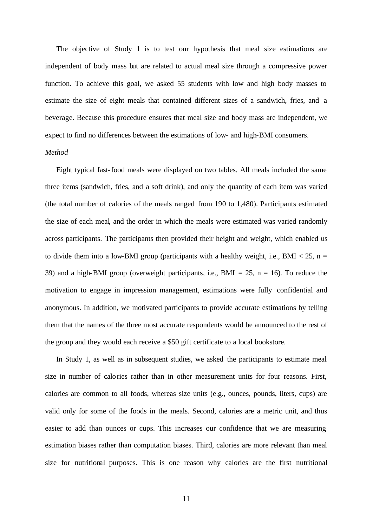The objective of Study 1 is to test our hypothesis that meal size estimations are independent of body mass but are related to actual meal size through a compressive power function. To achieve this goal, we asked 55 students with low and high body masses to estimate the size of eight meals that contained different sizes of a sandwich, fries, and a beverage. Because this procedure ensures that meal size and body mass are independent, we expect to find no differences between the estimations of low- and high-BMI consumers.

#### *Method*

Eight typical fast-food meals were displayed on two tables. All meals included the same three items (sandwich, fries, and a soft drink), and only the quantity of each item was varied (the total number of calories of the meals ranged from 190 to 1,480). Participants estimated the size of each meal, and the order in which the meals were estimated was varied randomly across participants. The participants then provided their height and weight, which enabled us to divide them into a low-BMI group (participants with a healthy weight, i.e., BMI  $<$  25, n = 39) and a high-BMI group (overweight participants, i.e., BMI = 25,  $n = 16$ ). To reduce the motivation to engage in impression management, estimations were fully confidential and anonymous. In addition, we motivated participants to provide accurate estimations by telling them that the names of the three most accurate respondents would be announced to the rest of the group and they would each receive a \$50 gift certificate to a local bookstore.

In Study 1, as well as in subsequent studies, we asked the participants to estimate meal size in number of calories rather than in other measurement units for four reasons. First, calories are common to all foods, whereas size units (e.g., ounces, pounds, liters, cups) are valid only for some of the foods in the meals. Second, calories are a metric unit, and thus easier to add than ounces or cups. This increases our confidence that we are measuring estimation biases rather than computation biases. Third, calories are more relevant than meal size for nutritional purposes. This is one reason why calories are the first nutritional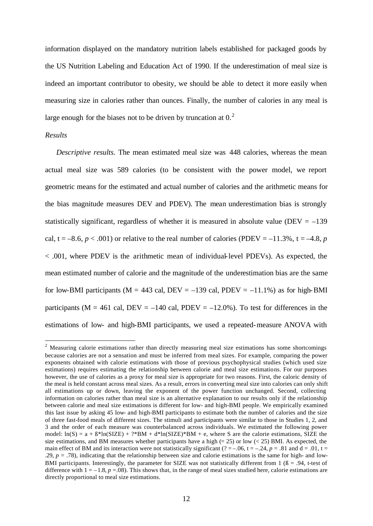information displayed on the mandatory nutrition labels established for packaged goods by the US Nutrition Labeling and Education Act of 1990. If the underestimation of meal size is indeed an important contributor to obesity, we should be able to detect it more easily when measuring size in calories rather than ounces. Finally, the number of calories in any meal is large enough for the biases not to be driven by truncation at  $0<sup>2</sup>$ .

#### *Results*

*Descriptive results.* The mean estimated meal size was 448 calories, whereas the mean actual meal size was 589 calories (to be consistent with the power model, we report geometric means for the estimated and actual number of calories and the arithmetic means for the bias magnitude measures DEV and PDEV). The mean underestimation bias is strongly statistically significant, regardless of whether it is measured in absolute value (DEV  $= -139$ ) cal,  $t = -8.6$ ,  $p < .001$ ) or relative to the real number of calories (PDEV = -11.3%,  $t = -4.8$ , *p* < .001, where PDEV is the arithmetic mean of individual-level PDEVs). As expected, the mean estimated number of calorie and the magnitude of the underestimation bias are the same for low-BMI participants ( $M = 443$  cal,  $DEV = -139$  cal,  $PDEV = -11.1\%$ ) as for high-BMI participants ( $M = 461$  cal,  $DEV = -140$  cal,  $PDEV = -12.0\%$ ). To test for differences in the estimations of low- and high-BMI participants, we used a repeated-measure ANOVA with

<sup>&</sup>lt;sup>2</sup> Measuring calorie estimations rather than directly measuring meal size estimations has some shortcomings because calories are not a sensation and must be inferred from meal sizes. For example, comparing the power exponents obtained with calorie estimations with those of previous psychophysical studies (which used size estimations) requires estimating the relationship between calorie and meal size estimations. For our purposes however, the use of calories as a proxy for meal size is appropriate for two reasons. First, the caloric density of the meal is held constant across meal sizes. As a result, errors in converting meal size into calories can only shift all estimations up or down, leaving the exponent of the power function unchanged. Second, collecting information on calories rather than meal size is an alternative explanation to our results only if the relationship between calorie and meal size estimations is different for low- and high-BMI people. We empirically examined this last issue by asking 45 low- and high-BMI participants to estimate both the number of calories and the size of three fast-food meals of different sizes. The stimuli and participants were similar to those in Studies 1, 2, and 3 and the order of each measure was counterbalanced across individuals. We estimated the following power model:  $ln(S) = a + B^*ln(SIZE) + ?^*BM + d^*ln(SIZE)^*BM + e$ , where S are the calorie estimations, SIZE the size estimations, and BM measures whether participants have a high  $(= 25)$  or low  $(< 25)$  BMI. As expected, the main effect of BM and its interaction were not statistically significant ( $? = -0.06$ ,  $t = -0.24$ ,  $p = .81$  and  $d = .01$ ,  $t =$ .29,  $p = .78$ ), indicating that the relationship between size and calorie estimations is the same for high- and low-BMI participants. Interestingly, the parameter for SIZE was not statistically different from  $1/6 = .94$ , t-test of difference with  $1 = -1.8$ ,  $p = .08$ ). This shows that, in the range of meal sizes studied here, calorie estimations are directly proportional to meal size estimations.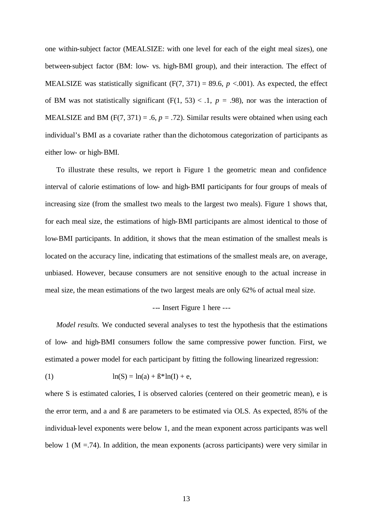one within-subject factor (MEALSIZE: with one level for each of the eight meal sizes), one between-subject factor (BM: low- vs. high-BMI group), and their interaction. The effect of MEALSIZE was statistically significant  $(F(7, 371) = 89.6, p < .001)$ . As expected, the effect of BM was not statistically significant  $(F(1, 53) < 1, p = .98)$ , nor was the interaction of MEALSIZE and BM  $(F(7, 371) = .6, p = .72)$ . Similar results were obtained when using each individual's BMI as a covariate rather than the dichotomous categorization of participants as either low- or high-BMI.

To illustrate these results, we report in Figure 1 the geometric mean and confidence interval of calorie estimations of low- and high-BMI participants for four groups of meals of increasing size (from the smallest two meals to the largest two meals). Figure 1 shows that, for each meal size, the estimations of high-BMI participants are almost identical to those of low-BMI participants. In addition, it shows that the mean estimation of the smallest meals is located on the accuracy line, indicating that estimations of the smallest meals are, on average, unbiased. However, because consumers are not sensitive enough to the actual increase in meal size, the mean estimations of the two largest meals are only 62% of actual meal size.

#### --- Insert Figure 1 here ---

*Model results.* We conducted several analyses to test the hypothesis that the estimations of low- and high-BMI consumers follow the same compressive power function. First, we estimated a power model for each participant by fitting the following linearized regression:

(1) 
$$
\ln(S) = \ln(a) + \beta^* \ln(I) + e
$$
,

where S is estimated calories, I is observed calories (centered on their geometric mean), e is the error term, and a and ß are parameters to be estimated via OLS. As expected, 85% of the individual-level exponents were below 1, and the mean exponent across participants was well below 1 ( $M = 74$ ). In addition, the mean exponents (across participants) were very similar in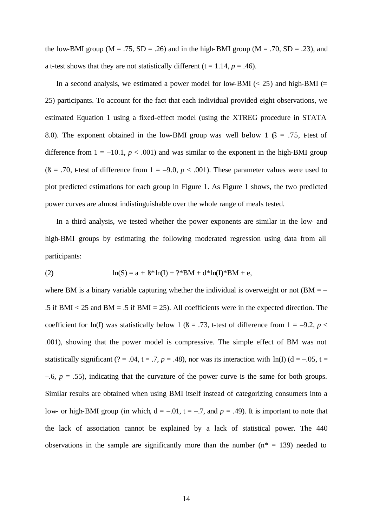the low-BMI group ( $M = .75$ ,  $SD = .26$ ) and in the high-BMI group ( $M = .70$ ,  $SD = .23$ ), and a t-test shows that they are not statistically different  $(t = 1.14, p = .46)$ .

In a second analysis, we estimated a power model for low-BMI ( $<$  25) and high-BMI ( $=$ 25) participants. To account for the fact that each individual provided eight observations, we estimated Equation 1 using a fixed-effect model (using the XTREG procedure in STATA 8.0). The exponent obtained in the low-BMI group was well below 1  $\beta$  = .75, tetest of difference from  $1 = -10.1$ ,  $p < .001$ ) and was similar to the exponent in the high-BMI group ( $\beta$  = .70, t-test of difference from 1 = -9.0, *p* < .001). These parameter values were used to plot predicted estimations for each group in Figure 1. As Figure 1 shows, the two predicted power curves are almost indistinguishable over the whole range of meals tested.

In a third analysis, we tested whether the power exponents are similar in the low- and high-BMI groups by estimating the following moderated regression using data from all participants:

(2) 
$$
\ln(S) = a + B^* \ln(I) + ?^* BM + d^* \ln(I)^* BM + e,
$$

where BM is a binary variable capturing whether the individual is overweight or not ( $BM = -$ .5 if BMI  $<$  25 and BM = .5 if BMI = 25). All coefficients were in the expected direction. The coefficient for ln(I) was statistically below 1 ( $\beta$  = .73, t-test of difference from 1 = -9.2, *p* < .001), showing that the power model is compressive. The simple effect of BM was not statistically significant (? = .04, t = .7, p = .48), nor was its interaction with ln(I) ( $d = -0.05$ , t =  $-6$ ,  $p = .55$ ), indicating that the curvature of the power curve is the same for both groups. Similar results are obtained when using BMI itself instead of categorizing consumers into a low- or high-BMI group (in which,  $d = -0.01$ ,  $t = -0.7$ , and  $p = 0.49$ ). It is important to note that the lack of association cannot be explained by a lack of statistical power. The 440 observations in the sample are significantly more than the number ( $n^* = 139$ ) needed to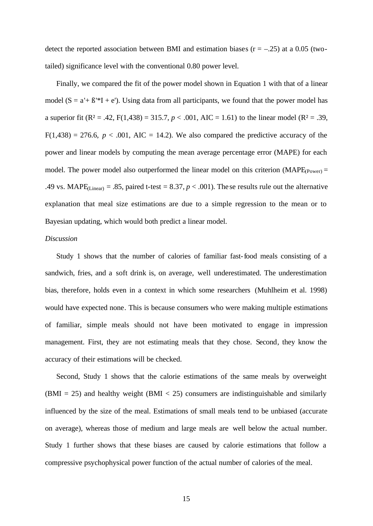detect the reported association between BMI and estimation biases  $(r = -.25)$  at a 0.05 (twotailed) significance level with the conventional 0.80 power level.

Finally, we compared the fit of the power model shown in Equation 1 with that of a linear model  $(S = a' + B'*I + e')$ . Using data from all participants, we found that the power model has a superior fit (R<sup>2</sup> = .42, F(1,438) = 315.7,  $p < .001$ , AIC = 1.61) to the linear model (R<sup>2</sup> = .39,  $F(1,438) = 276.6$ ,  $p < .001$ , AIC = 14.2). We also compared the predictive accuracy of the power and linear models by computing the mean average percentage error (MAPE) for each model. The power model also outperformed the linear model on this criterion (MAPE $_{(Power)} =$ .49 vs. MAPE<sub>(Linear)</sub> = .85, paired t-test = 8.37,  $p < .001$ ). The se results rule out the alternative explanation that meal size estimations are due to a simple regression to the mean or to Bayesian updating, which would both predict a linear model.

#### *Discussion*

Study 1 shows that the number of calories of familiar fast-food meals consisting of a sandwich, fries, and a soft drink is, on average, well underestimated. The underestimation bias, therefore, holds even in a context in which some researchers (Muhlheim et al. 1998) would have expected none. This is because consumers who were making multiple estimations of familiar, simple meals should not have been motivated to engage in impression management. First, they are not estimating meals that they chose. Second, they know the accuracy of their estimations will be checked.

Second, Study 1 shows that the calorie estimations of the same meals by overweight (BMI = 25) and healthy weight (BMI < 25) consumers are indistinguishable and similarly influenced by the size of the meal. Estimations of small meals tend to be unbiased (accurate on average), whereas those of medium and large meals are well below the actual number. Study 1 further shows that these biases are caused by calorie estimations that follow a compressive psychophysical power function of the actual number of calories of the meal.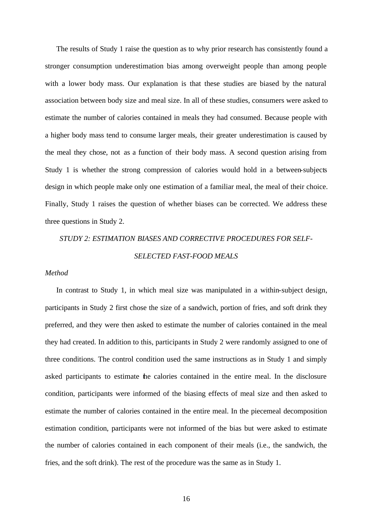The results of Study 1 raise the question as to why prior research has consistently found a stronger consumption underestimation bias among overweight people than among people with a lower body mass. Our explanation is that these studies are biased by the natural association between body size and meal size. In all of these studies, consumers were asked to estimate the number of calories contained in meals they had consumed. Because people with a higher body mass tend to consume larger meals, their greater underestimation is caused by the meal they chose, not as a function of their body mass. A second question arising from Study 1 is whether the strong compression of calories would hold in a between-subjects design in which people make only one estimation of a familiar meal, the meal of their choice. Finally, Study 1 raises the question of whether biases can be corrected. We address these three questions in Study 2.

## *STUDY 2: ESTIMATION BIASES AND CORRECTIVE PROCEDURES FOR SELF-SELECTED FAST-FOOD MEALS*

#### *Method*

In contrast to Study 1, in which meal size was manipulated in a within-subject design, participants in Study 2 first chose the size of a sandwich, portion of fries, and soft drink they preferred, and they were then asked to estimate the number of calories contained in the meal they had created. In addition to this, participants in Study 2 were randomly assigned to one of three conditions. The control condition used the same instructions as in Study 1 and simply asked participants to estimate the calories contained in the entire meal. In the disclosure condition, participants were informed of the biasing effects of meal size and then asked to estimate the number of calories contained in the entire meal. In the piecemeal decomposition estimation condition, participants were not informed of the bias but were asked to estimate the number of calories contained in each component of their meals (i.e., the sandwich, the fries, and the soft drink). The rest of the procedure was the same as in Study 1.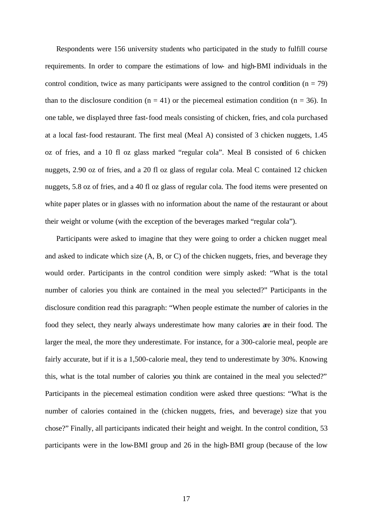Respondents were 156 university students who participated in the study to fulfill course requirements. In order to compare the estimations of low- and high-BMI individuals in the control condition, twice as many participants were assigned to the control condition ( $n = 79$ ) than to the disclosure condition ( $n = 41$ ) or the piecemeal estimation condition ( $n = 36$ ). In one table, we displayed three fast-food meals consisting of chicken, fries, and cola purchased at a local fast-food restaurant. The first meal (Meal A) consisted of 3 chicken nuggets, 1.45 oz of fries, and a 10 fl oz glass marked "regular cola". Meal B consisted of 6 chicken nuggets, 2.90 oz of fries, and a 20 fl oz glass of regular cola. Meal C contained 12 chicken nuggets, 5.8 oz of fries, and a 40 fl oz glass of regular cola. The food items were presented on white paper plates or in glasses with no information about the name of the restaurant or about their weight or volume (with the exception of the beverages marked "regular cola").

Participants were asked to imagine that they were going to order a chicken nugget meal and asked to indicate which size (A, B, or C) of the chicken nuggets, fries, and beverage they would order. Participants in the control condition were simply asked: "What is the total number of calories you think are contained in the meal you selected?" Participants in the disclosure condition read this paragraph: "When people estimate the number of calories in the food they select, they nearly always underestimate how many calories are in their food. The larger the meal, the more they underestimate. For instance, for a 300-calorie meal, people are fairly accurate, but if it is a 1,500-calorie meal, they tend to underestimate by 30%. Knowing this, what is the total number of calories you think are contained in the meal you selected?" Participants in the piecemeal estimation condition were asked three questions: "What is the number of calories contained in the (chicken nuggets, fries, and beverage) size that you chose?" Finally, all participants indicated their height and weight. In the control condition, 53 participants were in the low-BMI group and 26 in the high-BMI group (because of the low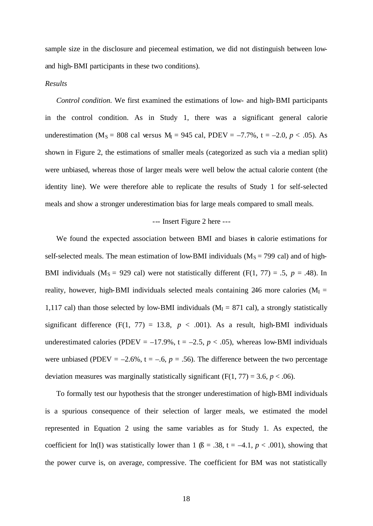sample size in the disclosure and piecemeal estimation, we did not distinguish between lowand high-BMI participants in these two conditions).

#### *Results*

*Control condition.* We first examined the estimations of low- and high-BMI participants in the control condition. As in Study 1, there was a significant general calorie underestimation (M<sub>S</sub> = 808 cal versus M<sub>I</sub> = 945 cal, PDEV =  $-7.7\%$ , t =  $-2.0$ ,  $p < .05$ ). As shown in Figure 2, the estimations of smaller meals (categorized as such via a median split) were unbiased, whereas those of larger meals were well below the actual calorie content (the identity line). We were therefore able to replicate the results of Study 1 for self-selected meals and show a stronger underestimation bias for large meals compared to small meals.

#### --- Insert Figure 2 here ---

We found the expected association between BMI and biases in calorie estimations for self-selected meals. The mean estimation of low-BMI individuals ( $M_s$  = 799 cal) and of high-BMI individuals ( $M_s = 929$  cal) were not statistically different (F(1, 77) = .5,  $p = .48$ ). In reality, however, high-BMI individuals selected meals containing 246 more calories ( $M<sub>I</sub>$  = 1,117 cal) than those selected by low-BMI individuals ( $M_I = 871$  cal), a strongly statistically significant difference  $(F(1, 77) = 13.8, p < .001)$ . As a result, high-BMI individuals underestimated calories (PDEV =  $-17.9\%$ , t =  $-2.5$ ,  $p < .05$ ), whereas low-BMI individuals were unbiased (PDEV =  $-2.6\%$ , t =  $-6$ , p = .56). The difference between the two percentage deviation measures was marginally statistically significant  $(F(1, 77) = 3.6, p < .06)$ .

To formally test our hypothesis that the stronger underestimation of high-BMI individuals is a spurious consequence of their selection of larger meals, we estimated the model represented in Equation 2 using the same variables as for Study 1. As expected, the coefficient for ln(I) was statistically lower than 1 ( $\beta$  = .38, t = -4.1, *p* < .001), showing that the power curve is, on average, compressive. The coefficient for BM was not statistically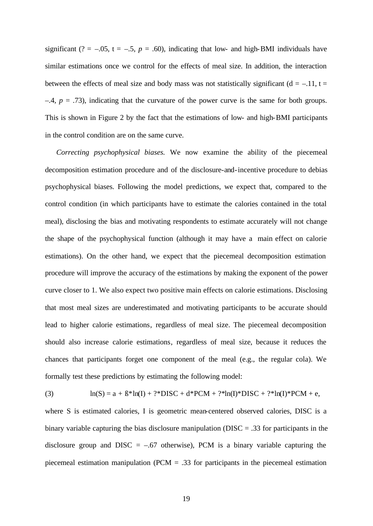significant (? = -.05,  $t = -0.5$ ,  $p = 0.60$ ), indicating that low- and high-BMI individuals have similar estimations once we control for the effects of meal size. In addition, the interaction between the effects of meal size and body mass was not statistically significant ( $d = -11$ ,  $t =$  $-4$ ,  $p = .73$ ), indicating that the curvature of the power curve is the same for both groups. This is shown in Figure 2 by the fact that the estimations of low- and high-BMI participants in the control condition are on the same curve.

*Correcting psychophysical biases.* We now examine the ability of the piecemeal decomposition estimation procedure and of the disclosure-and-incentive procedure to debias psychophysical biases. Following the model predictions, we expect that, compared to the control condition (in which participants have to estimate the calories contained in the total meal), disclosing the bias and motivating respondents to estimate accurately will not change the shape of the psychophysical function (although it may have a main effect on calorie estimations). On the other hand, we expect that the piecemeal decomposition estimation procedure will improve the accuracy of the estimations by making the exponent of the power curve closer to 1. We also expect two positive main effects on calorie estimations. Disclosing that most meal sizes are underestimated and motivating participants to be accurate should lead to higher calorie estimations, regardless of meal size. The piecemeal decomposition should also increase calorie estimations, regardless of meal size, because it reduces the chances that participants forget one component of the meal (e.g., the regular cola). We formally test these predictions by estimating the following model:

(3) 
$$
\ln(S) = a + \beta^* \ln(I) + ?^* DISC + d^* PCM + ?^* \ln(I)^* DISC + ?^* \ln(I)^* PCM + e,
$$

where S is estimated calories, I is geometric mean-centered observed calories, DISC is a binary variable capturing the bias disclosure manipulation (DISC = .33 for participants in the disclosure group and DISC  $=$  -.67 otherwise), PCM is a binary variable capturing the piecemeal estimation manipulation (PCM = .33 for participants in the piecemeal estimation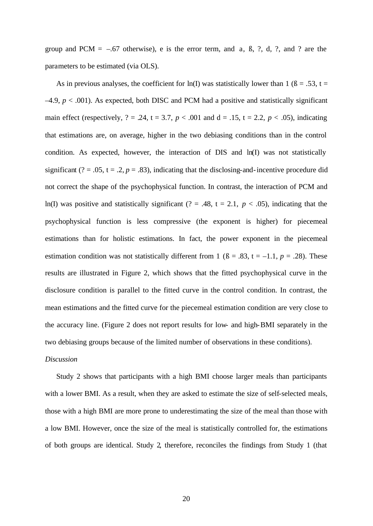group and PCM  $=$  -.67 otherwise), e is the error term, and a,  $\beta$ ,  $\beta$ ,  $\gamma$ ,  $\gamma$ ,  $\gamma$ , and  $\gamma$  are the parameters to be estimated (via OLS).

As in previous analyses, the coefficient for ln(I) was statistically lower than 1 ( $\beta = .53$ , t =  $-4.9$ ,  $p < .001$ ). As expected, both DISC and PCM had a positive and statistically significant main effect (respectively,  $? = .24$ ,  $t = 3.7$ ,  $p < .001$  and  $d = .15$ ,  $t = 2.2$ ,  $p < .05$ ), indicating that estimations are, on average, higher in the two debiasing conditions than in the control condition. As expected, however, the interaction of DIS and ln(I) was not statistically significant (? = .05,  $t = .2$ ,  $p = .83$ ), indicating that the disclosing-and-incentive procedure did not correct the shape of the psychophysical function. In contrast, the interaction of PCM and ln(I) was positive and statistically significant (? = .48,  $t = 2.1$ ,  $p < .05$ ), indicating that the psychophysical function is less compressive (the exponent is higher) for piecemeal estimations than for holistic estimations. In fact, the power exponent in the piecemeal estimation condition was not statistically different from 1 ( $\beta$  = .83, t = -1.1, *p* = .28). These results are illustrated in Figure 2, which shows that the fitted psychophysical curve in the disclosure condition is parallel to the fitted curve in the control condition. In contrast, the mean estimations and the fitted curve for the piecemeal estimation condition are very close to the accuracy line. (Figure 2 does not report results for low- and high-BMI separately in the two debiasing groups because of the limited number of observations in these conditions).

#### *Discussion*

Study 2 shows that participants with a high BMI choose larger meals than participants with a lower BMI. As a result, when they are asked to estimate the size of self-selected meals, those with a high BMI are more prone to underestimating the size of the meal than those with a low BMI. However, once the size of the meal is statistically controlled for, the estimations of both groups are identical. Study 2, therefore, reconciles the findings from Study 1 (that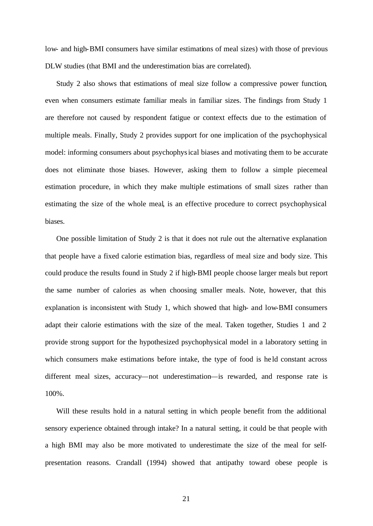low- and high-BMI consumers have similar estimations of meal sizes) with those of previous DLW studies (that BMI and the underestimation bias are correlated).

Study 2 also shows that estimations of meal size follow a compressive power function, even when consumers estimate familiar meals in familiar sizes. The findings from Study 1 are therefore not caused by respondent fatigue or context effects due to the estimation of multiple meals. Finally, Study 2 provides support for one implication of the psychophysical model: informing consumers about psychophysical biases and motivating them to be accurate does not eliminate those biases. However, asking them to follow a simple piecemeal estimation procedure, in which they make multiple estimations of small sizes rather than estimating the size of the whole meal, is an effective procedure to correct psychophysical biases.

One possible limitation of Study 2 is that it does not rule out the alternative explanation that people have a fixed calorie estimation bias, regardless of meal size and body size. This could produce the results found in Study 2 if high-BMI people choose larger meals but report the same number of calories as when choosing smaller meals. Note, however, that this explanation is inconsistent with Study 1, which showed that high- and low-BMI consumers adapt their calorie estimations with the size of the meal. Taken together, Studies 1 and 2 provide strong support for the hypothesized psychophysical model in a laboratory setting in which consumers make estimations before intake, the type of food is held constant across different meal sizes, accuracy—not underestimation—is rewarded, and response rate is 100%.

Will these results hold in a natural setting in which people benefit from the additional sensory experience obtained through intake? In a natural setting, it could be that people with a high BMI may also be more motivated to underestimate the size of the meal for selfpresentation reasons. Crandall (1994) showed that antipathy toward obese people is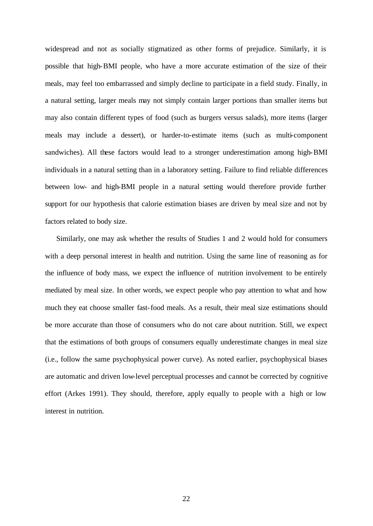widespread and not as socially stigmatized as other forms of prejudice. Similarly, it is possible that high-BMI people, who have a more accurate estimation of the size of their meals, may feel too embarrassed and simply decline to participate in a field study. Finally, in a natural setting, larger meals may not simply contain larger portions than smaller items but may also contain different types of food (such as burgers versus salads), more items (larger meals may include a dessert), or harder-to-estimate items (such as multi-component sandwiches). All these factors would lead to a stronger underestimation among high-BMI individuals in a natural setting than in a laboratory setting. Failure to find reliable differences between low- and high-BMI people in a natural setting would therefore provide further support for our hypothesis that calorie estimation biases are driven by meal size and not by factors related to body size.

Similarly, one may ask whether the results of Studies 1 and 2 would hold for consumers with a deep personal interest in health and nutrition. Using the same line of reasoning as for the influence of body mass, we expect the influence of nutrition involvement to be entirely mediated by meal size. In other words, we expect people who pay attention to what and how much they eat choose smaller fast-food meals. As a result, their meal size estimations should be more accurate than those of consumers who do not care about nutrition. Still, we expect that the estimations of both groups of consumers equally underestimate changes in meal size (i.e., follow the same psychophysical power curve). As noted earlier, psychophysical biases are automatic and driven low-level perceptual processes and cannot be corrected by cognitive effort (Arkes 1991). They should, therefore, apply equally to people with a high or low interest in nutrition.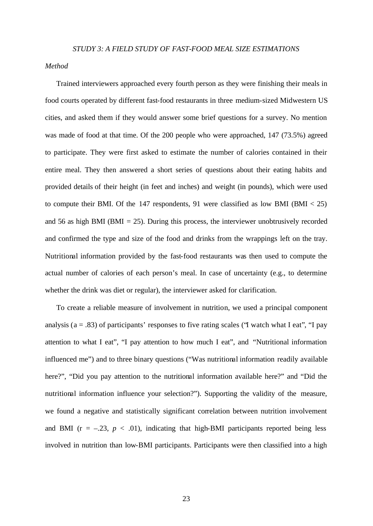## *Method*

Trained interviewers approached every fourth person as they were finishing their meals in food courts operated by different fast-food restaurants in three medium-sized Midwestern US cities, and asked them if they would answer some brief questions for a survey. No mention was made of food at that time. Of the 200 people who were approached, 147 (73.5%) agreed to participate. They were first asked to estimate the number of calories contained in their entire meal. They then answered a short series of questions about their eating habits and provided details of their height (in feet and inches) and weight (in pounds), which were used to compute their BMI. Of the 147 respondents, 91 were classified as low BMI (BMI  $<$  25) and 56 as high BMI (BMI  $= 25$ ). During this process, the interviewer unobtrusively recorded and confirmed the type and size of the food and drinks from the wrappings left on the tray. Nutritional information provided by the fast-food restaurants was then used to compute the actual number of calories of each person's meal. In case of uncertainty (e.g., to determine whether the drink was diet or regular), the interviewer asked for clarification.

To create a reliable measure of involvement in nutrition, we used a principal component analysis ( $a = .83$ ) of participants' responses to five rating scales ("I watch what I eat", "I pay attention to what I eat", "I pay attention to how much I eat", and "Nutritional information influenced me") and to three binary questions ("Was nutritional information readily available here?", "Did you pay attention to the nutritional information available here?" and "Did the nutritional information influence your selection?"). Supporting the validity of the measure, we found a negative and statistically significant correlation between nutrition involvement and BMI ( $r = -.23$ ,  $p < .01$ ), indicating that high-BMI participants reported being less involved in nutrition than low-BMI participants. Participants were then classified into a high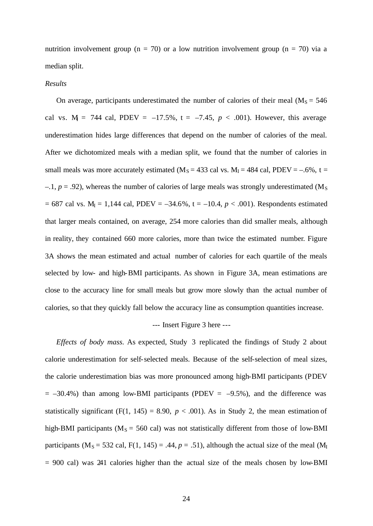nutrition involvement group ( $n = 70$ ) or a low nutrition involvement group ( $n = 70$ ) via a median split.

#### *Results*

On average, participants underestimated the number of calories of their meal ( $M_s = 546$ ) cal vs.  $M = 744$  cal, PDEV =  $-17.5\%$ , t =  $-7.45$ ,  $p < .001$ ). However, this average underestimation hides large differences that depend on the number of calories of the meal. After we dichotomized meals with a median split, we found that the number of calories in small meals was more accurately estimated ( $M<sub>S</sub> = 433$  cal vs.  $M<sub>I</sub> = 484$  cal, PDEV = -.6%, t =  $-1$ ,  $p = .92$ ), whereas the number of calories of large meals was strongly underestimated (M<sub>S</sub>)  $= 687$  cal vs. M<sub>I</sub> = 1,144 cal, PDEV =  $-34.6\%$ , t =  $-10.4$ ,  $p < .001$ ). Respondents estimated that larger meals contained, on average, 254 more calories than did smaller meals, although in reality, they contained 660 more calories, more than twice the estimated number. Figure 3A shows the mean estimated and actual number of calories for each quartile of the meals selected by low- and high-BMI participants. As shown in Figure 3A, mean estimations are close to the accuracy line for small meals but grow more slowly than the actual number of calories, so that they quickly fall below the accuracy line as consumption quantities increase.

#### --- Insert Figure 3 here ---

*Effects of body mass.* As expected, Study 3 replicated the findings of Study 2 about calorie underestimation for self-selected meals. Because of the self-selection of meal sizes, the calorie underestimation bias was more pronounced among high-BMI participants (PDEV  $= -30.4\%$ ) than among low-BMI participants (PDEV  $= -9.5\%$ ), and the difference was statistically significant (F(1, 145) = 8.90,  $p < .001$ ). As in Study 2, the mean estimation of high-BMI participants ( $M_s = 560$  cal) was not statistically different from those of low-BMI participants ( $M_s = 532$  cal,  $F(1, 145) = .44$ ,  $p = .51$ ), although the actual size of the meal ( $M_I$  $= 900$  cal) was 241 calories higher than the actual size of the meals chosen by low-BMI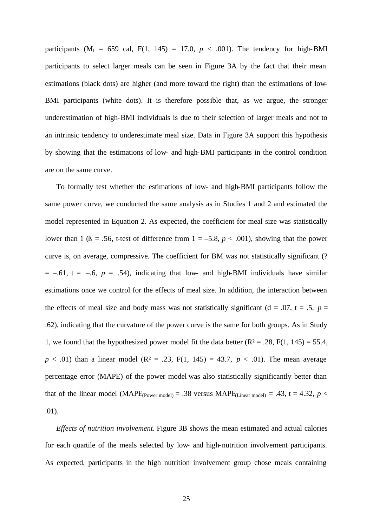participants ( $M_I = 659$  cal,  $F(1, 145) = 17.0$ ,  $p < .001$ ). The tendency for high-BMI participants to select larger meals can be seen in Figure 3A by the fact that their mean estimations (black dots) are higher (and more toward the right) than the estimations of low-BMI participants (white dots). It is therefore possible that, as we argue, the stronger underestimation of high-BMI individuals is due to their selection of larger meals and not to an intrinsic tendency to underestimate meal size. Data in Figure 3A support this hypothesis by showing that the estimations of low- and high-BMI participants in the control condition are on the same curve.

To formally test whether the estimations of low- and high-BMI participants follow the same power curve, we conducted the same analysis as in Studies 1 and 2 and estimated the model represented in Equation 2. As expected, the coefficient for meal size was statistically lower than 1 ( $\beta$  = .56, t-test of difference from 1 = -5.8,  $p < .001$ ), showing that the power curve is, on average, compressive. The coefficient for BM was not statistically significant (?  $= -0.61$ ,  $t = -0.6$ ,  $p = 0.54$ ), indicating that low- and high-BMI individuals have similar estimations once we control for the effects of meal size. In addition, the interaction between the effects of meal size and body mass was not statistically significant ( $d = .07$ ,  $t = .5$ ,  $p =$ .62), indicating that the curvature of the power curve is the same for both groups. As in Study 1, we found that the hypothesized power model fit the data better  $(R^2 = .28, F(1, 145) = 55.4,$  $p < .01$ ) than a linear model (R<sup>2</sup> = .23, F(1, 145) = 43.7,  $p < .01$ ). The mean average percentage error (MAPE) of the power model was also statistically significantly better than that of the linear model (MAPE<sub>(Power model)</sub> = .38 versus MAPE<sub>(Linear model)</sub> = .43, t = 4.32,  $p$  < .01).

*Effects of nutrition involvement.* Figure 3B shows the mean estimated and actual calories for each quartile of the meals selected by low- and high-nutrition involvement participants. As expected, participants in the high nutrition involvement group chose meals containing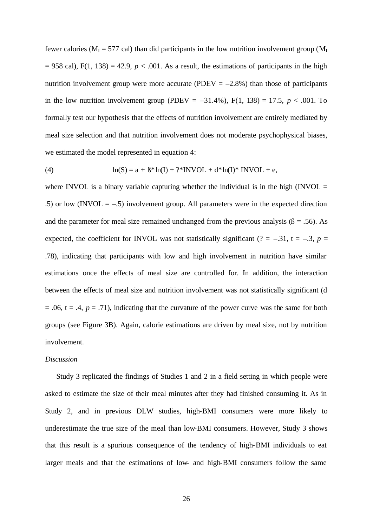fewer calories ( $M_I$  = 577 cal) than did participants in the low nutrition involvement group ( $M_I$  $= 958$  cal), F(1, 138) = 42.9,  $p < .001$ . As a result, the estimations of participants in the high nutrition involvement group were more accurate (PDEV  $= -2.8\%$ ) than those of participants in the low nutrition involvement group (PDEV =  $-31.4\%$ ), F(1, 138) = 17.5, *p* < .001. To formally test our hypothesis that the effects of nutrition involvement are entirely mediated by meal size selection and that nutrition involvement does not moderate psychophysical biases, we estimated the model represented in equation 4:

(4) 
$$
\ln(S) = a + B^* \ln(I) + ?^* \text{INVOL} + d^* \ln(I)^* \text{INVOL} + e,
$$

where INVOL is a binary variable capturing whether the individual is in the high (INVOL  $=$ .5) or low (INVOL  $=$  -.5) involvement group. All parameters were in the expected direction and the parameter for meal size remained unchanged from the previous analysis ( $\beta = .56$ ). As expected, the coefficient for INVOL was not statistically significant (? = -.31, t = -.3,  $p =$ .78), indicating that participants with low and high involvement in nutrition have similar estimations once the effects of meal size are controlled for. In addition, the interaction between the effects of meal size and nutrition involvement was not statistically significant (d  $= .06$ ,  $t = .4$ ,  $p = .71$ ), indicating that the curvature of the power curve was the same for both groups (see Figure 3B). Again, calorie estimations are driven by meal size, not by nutrition involvement.

#### *Discussion*

Study 3 replicated the findings of Studies 1 and 2 in a field setting in which people were asked to estimate the size of their meal minutes after they had finished consuming it. As in Study 2, and in previous DLW studies, high-BMI consumers were more likely to underestimate the true size of the meal than low-BMI consumers. However, Study 3 shows that this result is a spurious consequence of the tendency of high-BMI individuals to eat larger meals and that the estimations of low- and high-BMI consumers follow the same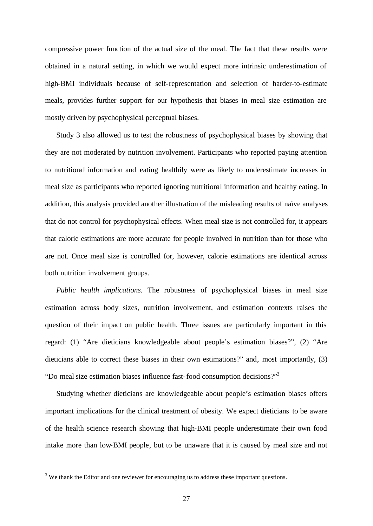compressive power function of the actual size of the meal. The fact that these results were obtained in a natural setting, in which we would expect more intrinsic underestimation of high-BMI individuals because of self-representation and selection of harder-to-estimate meals, provides further support for our hypothesis that biases in meal size estimation are mostly driven by psychophysical perceptual biases.

Study 3 also allowed us to test the robustness of psychophysical biases by showing that they are not moderated by nutrition involvement. Participants who reported paying attention to nutritional information and eating healthily were as likely to underestimate increases in meal size as participants who reported ignoring nutritional information and healthy eating. In addition, this analysis provided another illustration of the misleading results of naïve analyses that do not control for psychophysical effects. When meal size is not controlled for, it appears that calorie estimations are more accurate for people involved in nutrition than for those who are not. Once meal size is controlled for, however, calorie estimations are identical across both nutrition involvement groups.

*Public health implications.* The robustness of psychophysical biases in meal size estimation across body sizes, nutrition involvement, and estimation contexts raises the question of their impact on public health. Three issues are particularly important in this regard: (1) "Are dieticians knowledgeable about people's estimation biases?", (2) "Are dieticians able to correct these biases in their own estimations?" and, most importantly, (3) "Do meal size estimation biases influence fast-food consumption decisions?"<sup>3</sup>

Studying whether dieticians are knowledgeable about people's estimation biases offers important implications for the clinical treatment of obesity. We expect dieticians to be aware of the health science research showing that high-BMI people underestimate their own food intake more than low-BMI people, but to be unaware that it is caused by meal size and not

<sup>&</sup>lt;sup>3</sup> We thank the Editor and one reviewer for encouraging us to address these important questions.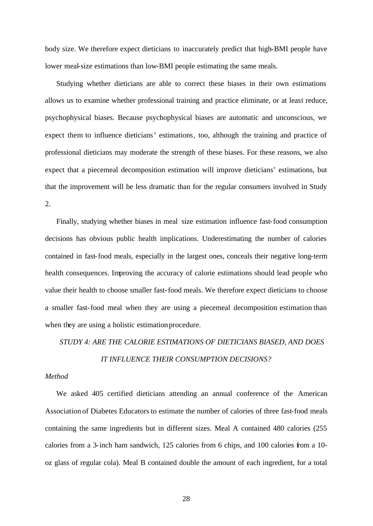body size. We therefore expect dieticians to inaccurately predict that high-BMI people have lower meal-size estimations than low-BMI people estimating the same meals.

Studying whether dieticians are able to correct these biases in their own estimations allows us to examine whether professional training and practice eliminate, or at least reduce, psychophysical biases. Because psychophysical biases are automatic and unconscious, we expect them to influence dieticians' estimations, too, although the training and practice of professional dieticians may moderate the strength of these biases. For these reasons, we also expect that a piecemeal decomposition estimation will improve dieticians' estimations, but that the improvement will be less dramatic than for the regular consumers involved in Study 2.

Finally, studying whether biases in meal size estimation influence fast-food consumption decisions has obvious public health implications. Underestimating the number of calories contained in fast-food meals, especially in the largest ones, conceals their negative long-term health consequences. Improving the accuracy of calorie estimations should lead people who value their health to choose smaller fast-food meals. We therefore expect dieticians to choose a smaller fast-food meal when they are using a piecemeal decomposition estimation than when they are using a holistic estimation procedure.

## *STUDY 4: ARE THE CALORIE ESTIMATIONS OF DIETICIANS BIASED, AND DOES IT INFLUENCE THEIR CONSUMPTION DECISIONS?*

#### *Method*

We asked 405 certified dieticians attending an annual conference of the American Association of Diabetes Educators to estimate the number of calories of three fast-food meals containing the same ingredients but in different sizes. Meal A contained 480 calories (255 calories from a 3-inch ham sandwich, 125 calories from 6 chips, and 100 calories from a 10 oz glass of regular cola). Meal B contained double the amount of each ingredient, for a total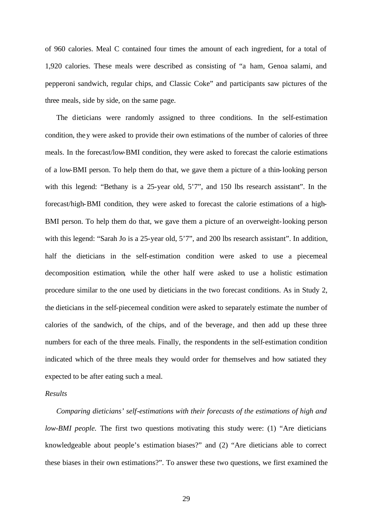of 960 calories. Meal C contained four times the amount of each ingredient, for a total of 1,920 calories. These meals were described as consisting of "a ham, Genoa salami, and pepperoni sandwich, regular chips, and Classic Coke" and participants saw pictures of the three meals, side by side, on the same page.

The dieticians were randomly assigned to three conditions. In the self-estimation condition, they were asked to provide their own estimations of the number of calories of three meals. In the forecast/low-BMI condition, they were asked to forecast the calorie estimations of a low-BMI person. To help them do that, we gave them a picture of a thin-looking person with this legend: "Bethany is a 25-year old, 5'7", and 150 lbs research assistant". In the forecast/high-BMI condition, they were asked to forecast the calorie estimations of a high-BMI person. To help them do that, we gave them a picture of an overweight-looking person with this legend: "Sarah Jo is a 25-year old, 5'7", and 200 lbs research assistant". In addition, half the dieticians in the self-estimation condition were asked to use a piecemeal decomposition estimation, while the other half were asked to use a holistic estimation procedure similar to the one used by dieticians in the two forecast conditions. As in Study 2, the dieticians in the self-piecemeal condition were asked to separately estimate the number of calories of the sandwich, of the chips, and of the beverage, and then add up these three numbers for each of the three meals. Finally, the respondents in the self-estimation condition indicated which of the three meals they would order for themselves and how satiated they expected to be after eating such a meal.

## *Results*

*Comparing dieticians' self-estimations with their forecasts of the estimations of high and low-BMI people.* The first two questions motivating this study were: (1) "Are dieticians knowledgeable about people's estimation biases?" and (2) "Are dieticians able to correct these biases in their own estimations?". To answer these two questions, we first examined the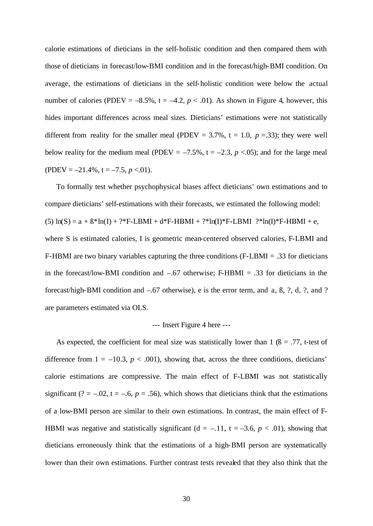calorie estimations of dieticians in the self-holistic condition and then compared them with those of dieticians in forecast/low-BMI condition and in the forecast/high-BMI condition. On average, the estimations of dieticians in the self-holistic condition were below the actual number of calories (PDEV =  $-8.5\%$ , t =  $-4.2$ ,  $p < .01$ ). As shown in Figure 4, however, this hides important differences across meal sizes. Dieticians' estimations were not statistically different from reality for the smaller meal (PDEV =  $3.7\%$ , t = 1.0, p = .33); they were well below reality for the medium meal (PDEV =  $-7.5\%$ , t =  $-2.3$ ,  $p < .05$ ); and for the large meal (PDEV =  $-21.4\%$ , t =  $-7.5$ , p <.01).

To formally test whether psychophysical biases affect dieticians' own estimations and to compare dieticians' self-estimations with their forecasts, we estimated the following model: (5)  $ln(S) = a + \beta * ln(I) + ?*F-LBMI + d*F-HBMI + ?*ln(I)*F-LBMI **F-HBMI + e,$ where S is estimated calories, I is geometric mean-centered observed calories, F-LBMI and F-HBMI are two binary variables capturing the three conditions (F-LBMI = .33 for dieticians in the forecast/low-BMI condition and  $-.67$  otherwise; F-HBMI = .33 for dieticians in the forecast/high-BMI condition and –.67 otherwise), e is the error term, and a, ß, ?, d, ?, and ? are parameters estimated via OLS.

#### --- Insert Figure 4 here ---

As expected, the coefficient for meal size was statistically lower than 1 ( $\beta$  = .77, t-test of difference from  $1 = -10.3$ ,  $p < .001$ ), showing that, across the three conditions, dieticians' calorie estimations are compressive. The main effect of F-LBMI was not statistically significant (? = -.02, t = -.6,  $p = .56$ ), which shows that dieticians think that the estimations of a low-BMI person are similar to their own estimations. In contrast, the main effect of F-HBMI was negative and statistically significant ( $d = -.11$ ,  $t = -3.6$ ,  $p < .01$ ), showing that dieticians erroneously think that the estimations of a high-BMI person are systematically lower than their own estimations. Further contrast tests revealed that they also think that the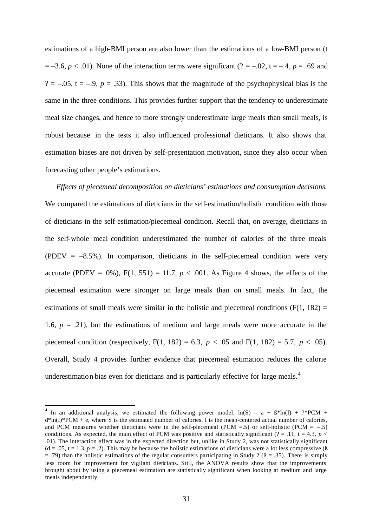estimations of a high-BMI person are also lower than the estimations of a low-BMI person (t  $= -3.6, p < .01$ ). None of the interaction terms were significant (? = -.02, t = -.4, p = .69 and ?  $=$  -.05, t = -.9,  $p = .33$ ). This shows that the magnitude of the psychophysical bias is the same in the three conditions. This provides further support that the tendency to underestimate meal size changes, and hence to more strongly underestimate large meals than small meals, is robust because in the tests it also influenced professional dieticians. It also shows that estimation biases are not driven by self-presentation motivation, since they also occur when forecasting other people's estimations.

*Effects of piecemeal decomposition on dieticians' estimations and consumption decisions.* We compared the estimations of dieticians in the self-estimation/holistic condition with those of dieticians in the self-estimation/piecemeal condition. Recall that, on average, dieticians in the self-whole meal condition underestimated the number of calories of the three meals (PDEV =  $-8.5\%$ ). In comparison, dieticians in the self-piecemeal condition were very accurate (PDEV = .0%),  $F(1, 551) = 11.7$ ,  $p < .001$ . As Figure 4 shows, the effects of the piecemeal estimation were stronger on large meals than on small meals. In fact, the estimations of small meals were similar in the holistic and piecemeal conditions  $(F(1, 182)) =$ 1.6,  $p = .21$ ), but the estimations of medium and large meals were more accurate in the piecemeal condition (respectively, F(1, 182) = 6.3,  $p < .05$  and F(1, 182) = 5.7,  $p < .05$ ). Overall, Study 4 provides further evidence that piecemeal estimation reduces the calorie underestimation bias even for dieticians and is particularly effective for large meals.<sup>4</sup>

l

<sup>&</sup>lt;sup>4</sup> In an additional analysis, we estimated the following power model:  $ln(S) = a + B^*ln(I) + ?^*PCM +$  $d*ln(I)*PCM + e$ , where S is the estimated number of calories, I is the mean-centered actual number of calories, and PCM measures whether dieticians were in the self-piecemeal (PCM = .5) or self-holistic (PCM =  $-.5$ ) conditions. As expected, the main effect of PCM was positive and statistically significant (? = .11,  $t = 4.3$ ,  $p <$ .01). The interaction effect was in the expected direction but, unlike in Study 2, was not statistically significant  $(d = .05, t = 1.3, p = .2)$ . This may be because the holistic estimations of dieticians were a lot less compressive ( $\beta$ )  $=$  .79) than the holistic estimations of the regular consumers participating in Study 2 ( $\beta =$  .35). There is simply less room for improvement for vigilant dieticians. Still, the ANOVA results show that the improvements brought about by using a piecemeal estimation are statistically significant when looking at medium and large meals independently.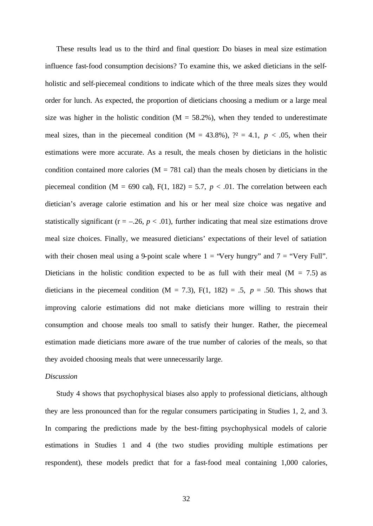These results lead us to the third and final question: Do biases in meal size estimation influence fast-food consumption decisions? To examine this, we asked dieticians in the selfholistic and self-piecemeal conditions to indicate which of the three meals sizes they would order for lunch. As expected, the proportion of dieticians choosing a medium or a large meal size was higher in the holistic condition ( $M = 58.2\%$ ), when they tended to underestimate meal sizes, than in the piecemeal condition  $(M = 43.8\%)$ ,  $\mathcal{P} = 4.1$ ,  $p < .05$ , when their estimations were more accurate. As a result, the meals chosen by dieticians in the holistic condition contained more calories ( $M = 781$  cal) than the meals chosen by dieticians in the piecemeal condition (M = 690 cal),  $F(1, 182) = 5.7$ ,  $p < .01$ . The correlation between each dietician's average calorie estimation and his or her meal size choice was negative and statistically significant ( $r = -.26$ ,  $p < .01$ ), further indicating that meal size estimations drove meal size choices. Finally, we measured dieticians' expectations of their level of satiation with their chosen meal using a 9-point scale where  $1 =$  "Very hungry" and  $7 =$  "Very Full". Dieticians in the holistic condition expected to be as full with their meal ( $M = 7.5$ ) as dieticians in the piecemeal condition  $(M = 7.3)$ ,  $F(1, 182) = .5$ ,  $p = .50$ . This shows that improving calorie estimations did not make dieticians more willing to restrain their consumption and choose meals too small to satisfy their hunger. Rather, the piecemeal estimation made dieticians more aware of the true number of calories of the meals, so that they avoided choosing meals that were unnecessarily large.

#### *Discussion*

Study 4 shows that psychophysical biases also apply to professional dieticians, although they are less pronounced than for the regular consumers participating in Studies 1, 2, and 3. In comparing the predictions made by the best-fitting psychophysical models of calorie estimations in Studies 1 and 4 (the two studies providing multiple estimations per respondent), these models predict that for a fast-food meal containing 1,000 calories,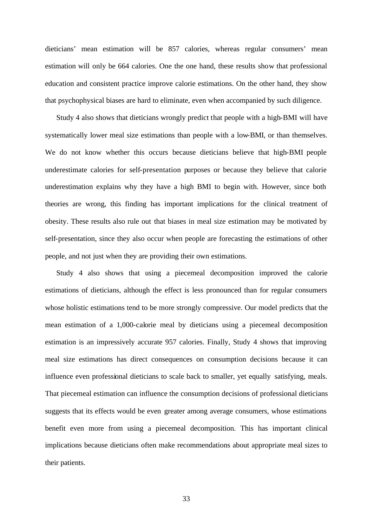dieticians' mean estimation will be 857 calories, whereas regular consumers' mean estimation will only be 664 calories. One the one hand, these results show that professional education and consistent practice improve calorie estimations. On the other hand, they show that psychophysical biases are hard to eliminate, even when accompanied by such diligence.

Study 4 also shows that dieticians wrongly predict that people with a high-BMI will have systematically lower meal size estimations than people with a low-BMI, or than themselves. We do not know whether this occurs because dieticians believe that high-BMI people underestimate calories for self-presentation purposes or because they believe that calorie underestimation explains why they have a high BMI to begin with. However, since both theories are wrong, this finding has important implications for the clinical treatment of obesity. These results also rule out that biases in meal size estimation may be motivated by self-presentation, since they also occur when people are forecasting the estimations of other people, and not just when they are providing their own estimations.

Study 4 also shows that using a piecemeal decomposition improved the calorie estimations of dieticians, although the effect is less pronounced than for regular consumers whose holistic estimations tend to be more strongly compressive. Our model predicts that the mean estimation of a 1,000-calorie meal by dieticians using a piecemeal decomposition estimation is an impressively accurate 957 calories. Finally, Study 4 shows that improving meal size estimations has direct consequences on consumption decisions because it can influence even professional dieticians to scale back to smaller, yet equally satisfying, meals. That piecemeal estimation can influence the consumption decisions of professional dieticians suggests that its effects would be even greater among average consumers, whose estimations benefit even more from using a piecemeal decomposition. This has important clinical implications because dieticians often make recommendations about appropriate meal sizes to their patients.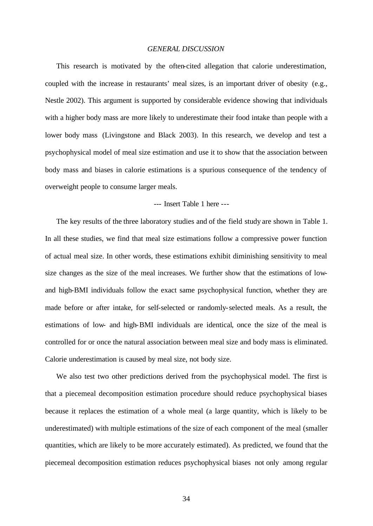#### *GENERAL DISCUSSION*

This research is motivated by the often-cited allegation that calorie underestimation, coupled with the increase in restaurants' meal sizes, is an important driver of obesity (e.g., Nestle 2002). This argument is supported by considerable evidence showing that individuals with a higher body mass are more likely to underestimate their food intake than people with a lower body mass (Livingstone and Black 2003). In this research, we develop and test a psychophysical model of meal size estimation and use it to show that the association between body mass and biases in calorie estimations is a spurious consequence of the tendency of overweight people to consume larger meals.

### --- Insert Table 1 here ---

The key results of the three laboratory studies and of the field study are shown in Table 1. In all these studies, we find that meal size estimations follow a compressive power function of actual meal size. In other words, these estimations exhibit diminishing sensitivity to meal size changes as the size of the meal increases. We further show that the estimations of lowand high-BMI individuals follow the exact same psychophysical function, whether they are made before or after intake, for self-selected or randomly-selected meals. As a result, the estimations of low- and high-BMI individuals are identical, once the size of the meal is controlled for or once the natural association between meal size and body mass is eliminated. Calorie underestimation is caused by meal size, not body size.

We also test two other predictions derived from the psychophysical model. The first is that a piecemeal decomposition estimation procedure should reduce psychophysical biases because it replaces the estimation of a whole meal (a large quantity, which is likely to be underestimated) with multiple estimations of the size of each component of the meal (smaller quantities, which are likely to be more accurately estimated). As predicted, we found that the piecemeal decomposition estimation reduces psychophysical biases not only among regular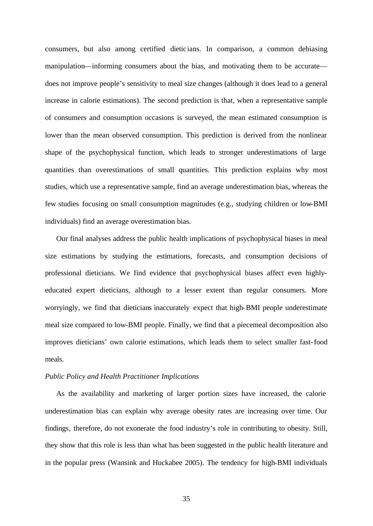consumers, but also among certified dieticians. In comparison, a common debiasing manipulation—informing consumers about the bias, and motivating them to be accurate does not improve people's sensitivity to meal size changes (although it does lead to a general increase in calorie estimations). The second prediction is that, when a representative sample of consumers and consumption occasions is surveyed, the mean estimated consumption is lower than the mean observed consumption. This prediction is derived from the nonlinear shape of the psychophysical function, which leads to stronger underestimations of large quantities than overestimations of small quantities. This prediction explains why most studies, which use a representative sample, find an average underestimation bias, whereas the few studies focusing on small consumption magnitudes (e.g., studying children or low-BMI individuals) find an average overestimation bias.

Our final analyses address the public health implications of psychophysical biases in meal size estimations by studying the estimations, forecasts, and consumption decisions of professional dieticians. We find evidence that psychophysical biases affect even highlyeducated expert dieticians, although to a lesser extent than regular consumers. More worryingly, we find that dieticians inaccurately expect that high-BMI people underestimate meal size compared to low-BMI people. Finally, we find that a piecemeal decomposition also improves dieticians' own calorie estimations, which leads them to select smaller fast-food meals.

#### *Public Policy and Health Practitioner Implications*

As the availability and marketing of larger portion sizes have increased, the calorie underestimation bias can explain why average obesity rates are increasing over time. Our findings, therefore, do not exonerate the food industry's role in contributing to obesity. Still, they show that this role is less than what has been suggested in the public health literature and in the popular press (Wansink and Huckabee 2005). The tendency for high-BMI individuals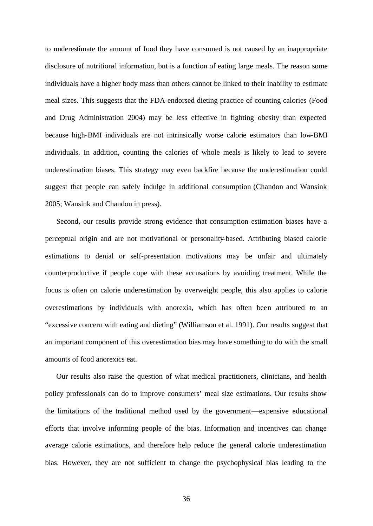to underestimate the amount of food they have consumed is not caused by an inappropriate disclosure of nutritional information, but is a function of eating large meals. The reason some individuals have a higher body mass than others cannot be linked to their inability to estimate meal sizes. This suggests that the FDA-endorsed dieting practice of counting calories (Food and Drug Administration 2004) may be less effective in fighting obesity than expected because high-BMI individuals are not intrinsically worse calorie estimators than low-BMI individuals. In addition, counting the calories of whole meals is likely to lead to severe underestimation biases. This strategy may even backfire because the underestimation could suggest that people can safely indulge in additional consumption (Chandon and Wansink 2005; Wansink and Chandon in press).

Second, our results provide strong evidence that consumption estimation biases have a perceptual origin and are not motivational or personality-based. Attributing biased calorie estimations to denial or self-presentation motivations may be unfair and ultimately counterproductive if people cope with these accusations by avoiding treatment. While the focus is often on calorie underestimation by overweight people, this also applies to calorie overestimations by individuals with anorexia, which has often been attributed to an "excessive concern with eating and dieting" (Williamson et al. 1991). Our results suggest that an important component of this overestimation bias may have something to do with the small amounts of food anorexics eat.

Our results also raise the question of what medical practitioners, clinicians, and health policy professionals can do to improve consumers' meal size estimations. Our results show the limitations of the traditional method used by the government—expensive educational efforts that involve informing people of the bias. Information and incentives can change average calorie estimations, and therefore help reduce the general calorie underestimation bias. However, they are not sufficient to change the psychophysical bias leading to the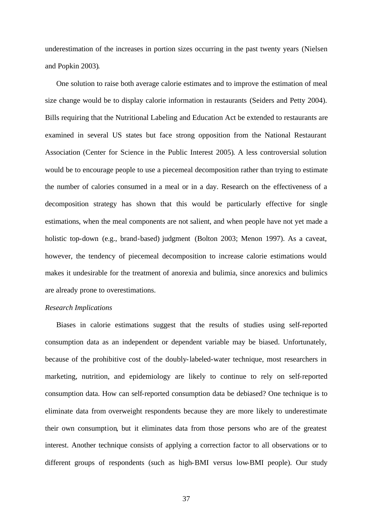underestimation of the increases in portion sizes occurring in the past twenty years (Nielsen and Popkin 2003).

One solution to raise both average calorie estimates and to improve the estimation of meal size change would be to display calorie information in restaurants (Seiders and Petty 2004). Bills requiring that the Nutritional Labeling and Education Act be extended to restaurants are examined in several US states but face strong opposition from the National Restaurant Association (Center for Science in the Public Interest 2005). A less controversial solution would be to encourage people to use a piecemeal decomposition rather than trying to estimate the number of calories consumed in a meal or in a day. Research on the effectiveness of a decomposition strategy has shown that this would be particularly effective for single estimations, when the meal components are not salient, and when people have not yet made a holistic top-down (e.g., brand-based) judgment (Bolton 2003; Menon 1997). As a caveat, however, the tendency of piecemeal decomposition to increase calorie estimations would makes it undesirable for the treatment of anorexia and bulimia, since anorexics and bulimics are already prone to overestimations.

### *Research Implications*

Biases in calorie estimations suggest that the results of studies using self-reported consumption data as an independent or dependent variable may be biased. Unfortunately, because of the prohibitive cost of the doubly-labeled-water technique, most researchers in marketing, nutrition, and epidemiology are likely to continue to rely on self-reported consumption data. How can self-reported consumption data be debiased? One technique is to eliminate data from overweight respondents because they are more likely to underestimate their own consumption, but it eliminates data from those persons who are of the greatest interest. Another technique consists of applying a correction factor to all observations or to different groups of respondents (such as high-BMI versus low-BMI people). Our study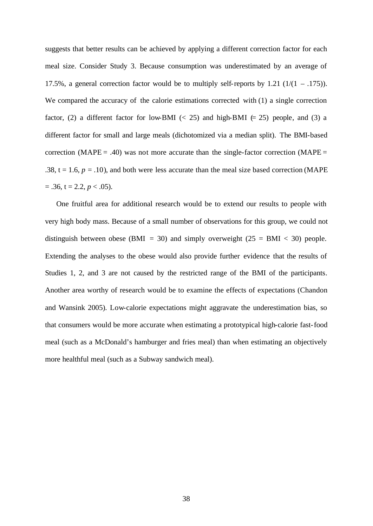suggests that better results can be achieved by applying a different correction factor for each meal size. Consider Study 3. Because consumption was underestimated by an average of 17.5%, a general correction factor would be to multiply self-reports by 1.21  $(1/(1 - .175))$ . We compared the accuracy of the calorie estimations corrected with (1) a single correction factor, (2) a different factor for low-BMI ( $\lt$  25) and high-BMI ( $\approx$  25) people, and (3) a different factor for small and large meals (dichotomized via a median split). The BMI-based correction (MAPE = .40) was not more accurate than the single-factor correction (MAPE = .38,  $t = 1.6$ ,  $p = .10$ ), and both were less accurate than the meal size based correction (MAPE).  $= .36$ ,  $t = 2.2$ ,  $p < .05$ ).

One fruitful area for additional research would be to extend our results to people with very high body mass. Because of a small number of observations for this group, we could not distinguish between obese (BMI = 30) and simply overweight ( $25 = BMI < 30$ ) people. Extending the analyses to the obese would also provide further evidence that the results of Studies 1, 2, and 3 are not caused by the restricted range of the BMI of the participants. Another area worthy of research would be to examine the effects of expectations (Chandon and Wansink 2005). Low-calorie expectations might aggravate the underestimation bias, so that consumers would be more accurate when estimating a prototypical high-calorie fast-food meal (such as a McDonald's hamburger and fries meal) than when estimating an objectively more healthful meal (such as a Subway sandwich meal).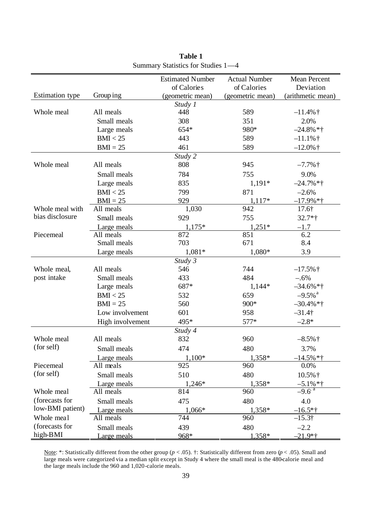|                        |                  | <b>Estimated Number</b> | <b>Actual Number</b> | <b>Mean Percent</b>   |
|------------------------|------------------|-------------------------|----------------------|-----------------------|
|                        |                  | of Calories             | of Calories          | Deviation             |
| <b>Estimation</b> type | Group ing        | (geometric mean)        | (geometric mean)     | (arithmetic mean)     |
| Whole meal             | All meals        | Study 1<br>448          | 589                  |                       |
|                        |                  |                         |                      | $-11.4\%$ †           |
|                        | Small meals      | 308                     | 351                  | 2.0%                  |
|                        | Large meals      | 654*                    | 980*                 | $-24.8\% *†$          |
|                        | BMI < 25         | 443                     | 589                  | $-11.1\%$             |
|                        | $BMI = 25$       | 461                     | 589                  | $-12.0\%$ †           |
|                        |                  | Study 2                 |                      |                       |
| Whole meal             | All meals        | 808                     | 945                  | $-7.7\%$ †            |
|                        | Small meals      | 784                     | 755                  | 9.0%                  |
|                        | Large meals      | 835                     | $1,191*$             | $-24.7\%*†$           |
|                        | BMI < 25         | 799                     | 871                  | $-2.6%$               |
|                        | $BMI = 25$       | 929                     | $1,117*$             | $-17.9%$ *†           |
| Whole meal with        | All meals        | 1,030                   | 942                  | 17.6†                 |
| bias disclosure        | Small meals      | 929                     | 755                  | $32.7*$ †             |
|                        | Large meals      | $1,175*$                | $1,251*$             | $-1.7$                |
| Piecemeal              | All meals        | 872                     | 851                  | 6.2                   |
|                        | Small meals      | 703                     | 671                  | 8.4                   |
|                        | Large meals      | $1,081*$                | 1,080*               | 3.9                   |
|                        |                  | Study 3                 |                      |                       |
| Whole meal,            | All meals        | 546                     | 744                  | $-17.5%$ †            |
| post intake            | Small meals      | 433                     | 484                  | $-.6%$                |
|                        | Large meals      | 687*                    | $1,144*$             | $-34.6\%*$ †          |
|                        | BMI < 25         | 532                     | 659                  | $-9.5\%$ <sup>a</sup> |
|                        | $BMI = 25$       | 560                     | 900*                 | $-30.4\%*†$           |
|                        | Low involvement  | 601                     | 958                  | $-31.4$ †             |
|                        | High involvement | 495*                    | 577*                 | $-2.8*$               |
|                        |                  | Study 4                 |                      |                       |
| Whole meal             | All meals        | 832                     | 960                  | $-8.5\%$ †            |
| (for self)             | Small meals      | 474                     | 480                  | 3.7%                  |
|                        | Large meals      | $1,100*$                | 1,358*               | $-14.5\%$ *†          |
| Piecemeal              | All meals        | 925                     | 960                  | 0.0%                  |
| (for self)             | Small meals      | 510                     | 480                  | 10.5% †               |
|                        | Large meals      | 1,246*                  | $1,358*$             | $-5.1\%$ *†           |
| Whole meal             | All meals        | 814                     | 960                  | $-9.6^{4}$            |
| (forecasts for         | Small meals      | 475                     | 480                  | 4.0                   |
| low-BMI patient)       | Large meals      | 1,066*                  | 1,358*               | $-16.5*$ †            |
| Whole meal             | All meals        | 744                     | 960                  | $-15.3$ †             |
| (forecasts for         | Small meals      | 439                     | 480                  | $-2.2$                |
| high-BMI               | Large meals      | 968*                    | 1.358*               | $-21.9$ *†            |

**Table 1** Summary Statistics for Studies 1—4

Note: \*: Statistically different from the other group (*p* < .05). †: Statistically different from zero (*p* < .05). Small and large meals were categorized via a median split except in Study 4 where the small meal is the 480-calorie meal and the large meals include the 960 and 1,020-calorie meals.

patient)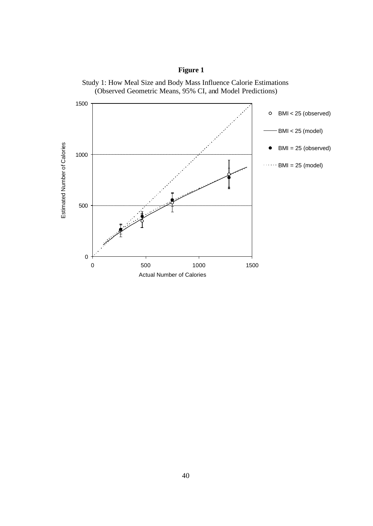

Study 1: How Meal Size and Body Mass Influence Calorie Estimations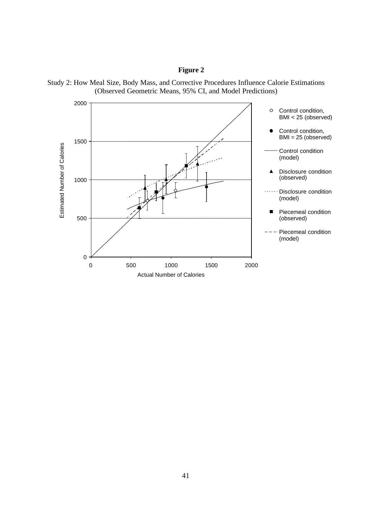

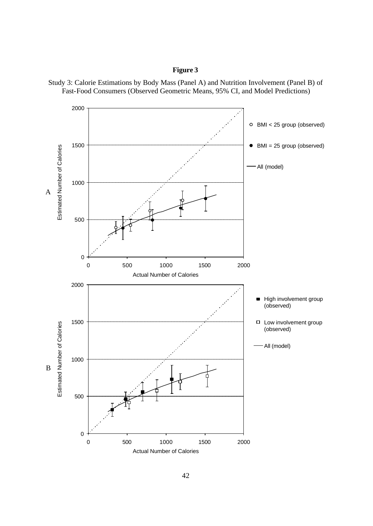

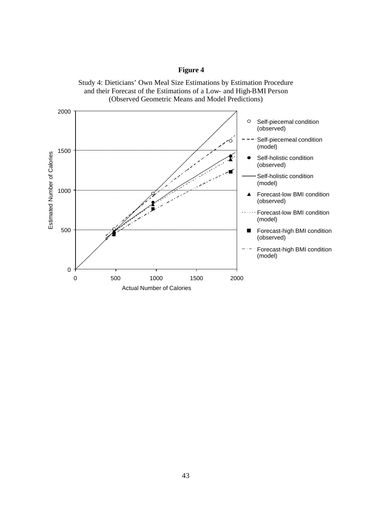

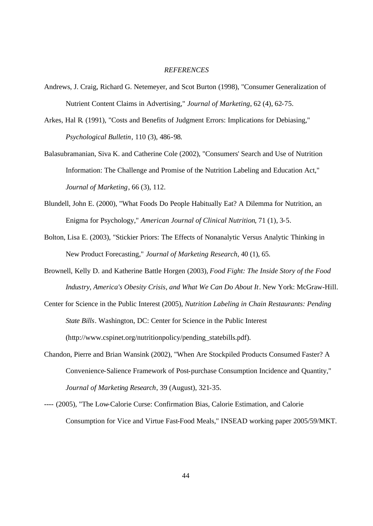#### *REFERENCES*

- Andrews, J. Craig, Richard G. Netemeyer, and Scot Burton (1998), "Consumer Generalization of Nutrient Content Claims in Advertising," *Journal of Marketing*, 62 (4), 62-75.
- Arkes, Hal R. (1991), "Costs and Benefits of Judgment Errors: Implications for Debiasing," *Psychological Bulletin*, 110 (3), 486-98.
- Balasubramanian, Siva K. and Catherine Cole (2002), "Consumers' Search and Use of Nutrition Information: The Challenge and Promise of the Nutrition Labeling and Education Act," *Journal of Marketing*, 66 (3), 112.
- Blundell, John E. (2000), "What Foods Do People Habitually Eat? A Dilemma for Nutrition, an Enigma for Psychology," *American Journal of Clinical Nutrition*, 71 (1), 3-5.
- Bolton, Lisa E. (2003), "Stickier Priors: The Effects of Nonanalytic Versus Analytic Thinking in New Product Forecasting," *Journal of Marketing Research*, 40 (1), 65.
- Brownell, Kelly D. and Katherine Battle Horgen (2003), *Food Fight: The Inside Story of the Food Industry, America's Obesity Crisis, and What We Can Do About It*. New York: McGraw-Hill.
- Center for Science in the Public Interest (2005), *Nutrition Labeling in Chain Restaurants: Pending State Bills*. Washington, DC: Center for Science in the Public Interest (http://www.cspinet.org/nutritionpolicy/pending\_statebills.pdf).
- Chandon, Pierre and Brian Wansink (2002), "When Are Stockpiled Products Consumed Faster? A Convenience-Salience Framework of Post-purchase Consumption Incidence and Quantity," *Journal of Marketing Research*, 39 (August), 321-35.
- ---- (2005), "The Low-Calorie Curse: Confirmation Bias, Calorie Estimation, and Calorie Consumption for Vice and Virtue Fast-Food Meals," INSEAD working paper 2005/59/MKT.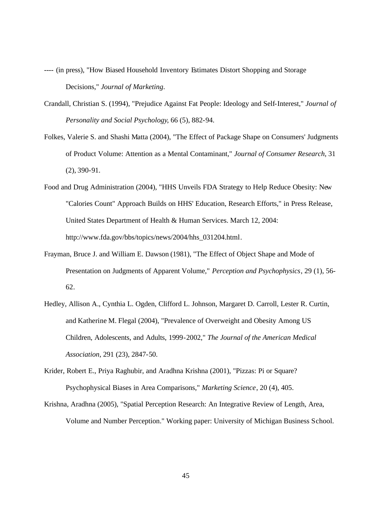- ---- (in press), "How Biased Household Inventory Estimates Distort Shopping and Storage Decisions," *Journal of Marketing*.
- Crandall, Christian S. (1994), "Prejudice Against Fat People: Ideology and Self-Interest," *Journal of Personality and Social Psychology*, 66 (5), 882-94.
- Folkes, Valerie S. and Shashi Matta (2004), "The Effect of Package Shape on Consumers' Judgments of Product Volume: Attention as a Mental Contaminant," *Journal of Consumer Research*, 31 (2), 390-91.
- Food and Drug Administration (2004), "HHS Unveils FDA Strategy to Help Reduce Obesity: New "Calories Count" Approach Builds on HHS' Education, Research Efforts," in Press Release, United States Department of Health & Human Services. March 12, 2004: http://www.fda.gov/bbs/topics/news/2004/hhs\_031204.html.
- Frayman, Bruce J. and William E. Dawson (1981), "The Effect of Object Shape and Mode of Presentation on Judgments of Apparent Volume," *Perception and Psychophysics*, 29 (1), 56- 62.
- Hedley, Allison A., Cynthia L. Ogden, Clifford L. Johnson, Margaret D. Carroll, Lester R. Curtin, and Katherine M. Flegal (2004), "Prevalence of Overweight and Obesity Among US Children, Adolescents, and Adults, 1999-2002," *The Journal of the American Medical Association*, 291 (23), 2847-50.
- Krider, Robert E., Priya Raghubir, and Aradhna Krishna (2001), "Pizzas: Pi or Square? Psychophysical Biases in Area Comparisons," *Marketing Science*, 20 (4), 405.
- Krishna, Aradhna (2005), "Spatial Perception Research: An Integrative Review of Length, Area, Volume and Number Perception." Working paper: University of Michigan Business School.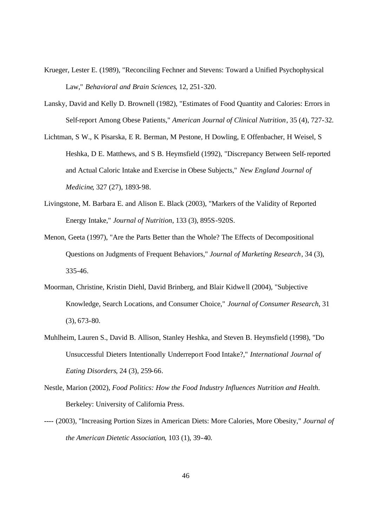- Krueger, Lester E. (1989), "Reconciling Fechner and Stevens: Toward a Unified Psychophysical Law," *Behavioral and Brain Sciences*, 12, 251-320.
- Lansky, David and Kelly D. Brownell (1982), "Estimates of Food Quantity and Calories: Errors in Self-report Among Obese Patients," *American Journal of Clinical Nutrition*, 35 (4), 727-32.
- Lichtman, S W., K Pisarska, E R. Berman, M Pestone, H Dowling, E Offenbacher, H Weisel, S Heshka, D E. Matthews, and S B. Heymsfield (1992), "Discrepancy Between Self-reported and Actual Caloric Intake and Exercise in Obese Subjects," *New England Journal of Medicine*, 327 (27), 1893-98.
- Livingstone, M. Barbara E. and Alison E. Black (2003), "Markers of the Validity of Reported Energy Intake," *Journal of Nutrition*, 133 (3), 895S-920S.
- Menon, Geeta (1997), "Are the Parts Better than the Whole? The Effects of Decompositional Questions on Judgments of Frequent Behaviors," *Journal of Marketing Research*, 34 (3), 335-46.
- Moorman, Christine, Kristin Diehl, David Brinberg, and Blair Kidwe ll (2004), "Subjective Knowledge, Search Locations, and Consumer Choice," *Journal of Consumer Research*, 31 (3), 673-80.
- Muhlheim, Lauren S., David B. Allison, Stanley Heshka, and Steven B. Heymsfield (1998), "Do Unsuccessful Dieters Intentionally Underreport Food Intake?," *International Journal of Eating Disorders*, 24 (3), 259-66.
- Nestle, Marion (2002), *Food Politics: How the Food Industry Influences Nutrition and Health*. Berkeley: University of California Press.
- ---- (2003), "Increasing Portion Sizes in American Diets: More Calories, More Obesity," *Journal of the American Dietetic Association*, 103 (1), 39-40.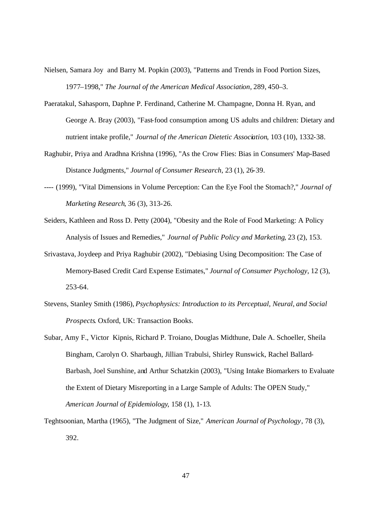- Nielsen, Samara Joy and Barry M. Popkin (2003), "Patterns and Trends in Food Portion Sizes, 1977–1998," *The Journal of the American Medical Association*, 289, 450–3.
- Paeratakul, Sahasporn, Daphne P. Ferdinand, Catherine M. Champagne, Donna H. Ryan, and George A. Bray (2003), "Fast-food consumption among US adults and children: Dietary and nutrient intake profile," *Journal of the American Dietetic Association*, 103 (10), 1332-38.
- Raghubir, Priya and Aradhna Krishna (1996), "As the Crow Flies: Bias in Consumers' Map-Based Distance Judgments," *Journal of Consumer Research*, 23 (1), 26-39.
- ---- (1999), "Vital Dimensions in Volume Perception: Can the Eye Fool the Stomach?," *Journal of Marketing Research*, 36 (3), 313-26.
- Seiders, Kathleen and Ross D. Petty (2004), "Obesity and the Role of Food Marketing: A Policy Analysis of Issues and Remedies," *Journal of Public Policy and Marketing*, 23 (2), 153.
- Srivastava, Joydeep and Priya Raghubir (2002), "Debiasing Using Decomposition: The Case of Memory-Based Credit Card Expense Estimates," *Journal of Consumer Psychology*, 12 (3), 253-64.
- Stevens, Stanley Smith (1986), *Psychophysics: Introduction to its Perceptual, Neural, and Social Prospects*. Oxford, UK: Transaction Books.
- Subar, Amy F., Victor Kipnis, Richard P. Troiano, Douglas Midthune, Dale A. Schoeller, Sheila Bingham, Carolyn O. Sharbaugh, Jillian Trabulsi, Shirley Runswick, Rachel Ballard-Barbash, Joel Sunshine, and Arthur Schatzkin (2003), "Using Intake Biomarkers to Evaluate the Extent of Dietary Misreporting in a Large Sample of Adults: The OPEN Study," *American Journal of Epidemiology*, 158 (1), 1-13.
- Teghtsoonian, Martha (1965), "The Judgment of Size," *American Journal of Psychology*, 78 (3), 392.